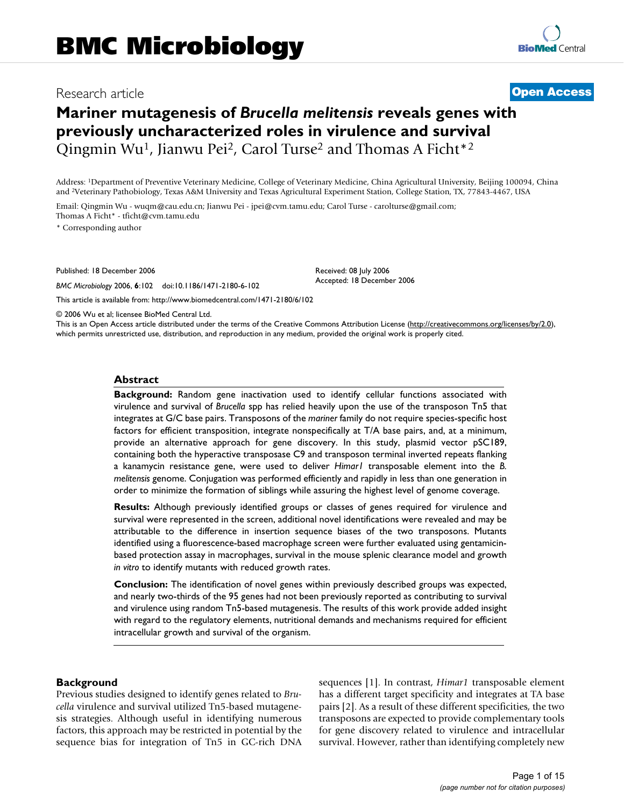# Research article **[Open Access](http://www.biomedcentral.com/info/about/charter/)**

# **Mariner mutagenesis of** *Brucella melitensis* **reveals genes with previously uncharacterized roles in virulence and survival** Qingmin Wu1, Jianwu Pei2, Carol Turse2 and Thomas A Ficht\*2

Address: 1Department of Preventive Veterinary Medicine, College of Veterinary Medicine, China Agricultural University, Beijing 100094, China and 2Veterinary Pathobiology, Texas A&M University and Texas Agricultural Experiment Station, College Station, TX, 77843-4467, USA

Email: Qingmin Wu - wuqm@cau.edu.cn; Jianwu Pei - jpei@cvm.tamu.edu; Carol Turse - carolturse@gmail.com; Thomas A Ficht\* - tficht@cvm.tamu.edu

\* Corresponding author

Published: 18 December 2006

*BMC Microbiology* 2006, **6**:102 doi:10.1186/1471-2180-6-102

[This article is available from: http://www.biomedcentral.com/1471-2180/6/102](http://www.biomedcentral.com/1471-2180/6/102)

© 2006 Wu et al; licensee BioMed Central Ltd.

This is an Open Access article distributed under the terms of the Creative Commons Attribution License [\(http://creativecommons.org/licenses/by/2.0\)](http://creativecommons.org/licenses/by/2.0), which permits unrestricted use, distribution, and reproduction in any medium, provided the original work is properly cited.

Received: 08 July 2006 Accepted: 18 December 2006

#### **Abstract**

**Background:** Random gene inactivation used to identify cellular functions associated with virulence and survival of *Brucella* spp has relied heavily upon the use of the transposon Tn5 that integrates at G/C base pairs. Transposons of the *mariner* family do not require species-specific host factors for efficient transposition, integrate nonspecifically at T/A base pairs, and, at a minimum, provide an alternative approach for gene discovery. In this study, plasmid vector pSC189, containing both the hyperactive transposase C9 and transposon terminal inverted repeats flanking a kanamycin resistance gene, were used to deliver *Himar1* transposable element into the *B. melitensis* genome. Conjugation was performed efficiently and rapidly in less than one generation in order to minimize the formation of siblings while assuring the highest level of genome coverage.

**Results:** Although previously identified groups or classes of genes required for virulence and survival were represented in the screen, additional novel identifications were revealed and may be attributable to the difference in insertion sequence biases of the two transposons. Mutants identified using a fluorescence-based macrophage screen were further evaluated using gentamicinbased protection assay in macrophages, survival in the mouse splenic clearance model and growth *in vitro* to identify mutants with reduced growth rates.

**Conclusion:** The identification of novel genes within previously described groups was expected, and nearly two-thirds of the 95 genes had not been previously reported as contributing to survival and virulence using random Tn5-based mutagenesis. The results of this work provide added insight with regard to the regulatory elements, nutritional demands and mechanisms required for efficient intracellular growth and survival of the organism.

#### **Background**

Previous studies designed to identify genes related to *Brucella* virulence and survival utilized Tn5-based mutagenesis strategies. Although useful in identifying numerous factors, this approach may be restricted in potential by the sequence bias for integration of Tn5 in GC-rich DNA sequences [1]. In contrast, *Himar1* transposable element has a different target specificity and integrates at TA base pairs [2]. As a result of these different specificities, the two transposons are expected to provide complementary tools for gene discovery related to virulence and intracellular survival. However, rather than identifying completely new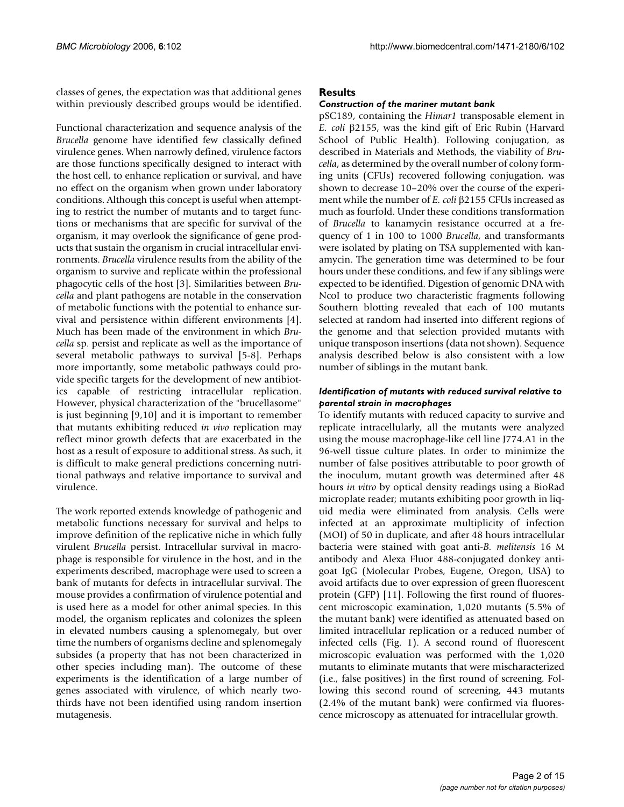classes of genes, the expectation was that additional genes within previously described groups would be identified.

Functional characterization and sequence analysis of the *Brucella* genome have identified few classically defined virulence genes. When narrowly defined, virulence factors are those functions specifically designed to interact with the host cell, to enhance replication or survival, and have no effect on the organism when grown under laboratory conditions. Although this concept is useful when attempting to restrict the number of mutants and to target functions or mechanisms that are specific for survival of the organism, it may overlook the significance of gene products that sustain the organism in crucial intracellular environments. *Brucella* virulence results from the ability of the organism to survive and replicate within the professional phagocytic cells of the host [3]. Similarities between *Brucella* and plant pathogens are notable in the conservation of metabolic functions with the potential to enhance survival and persistence within different environments [4]. Much has been made of the environment in which *Brucella* sp. persist and replicate as well as the importance of several metabolic pathways to survival [5-8]. Perhaps more importantly, some metabolic pathways could provide specific targets for the development of new antibiotics capable of restricting intracellular replication. However, physical characterization of the "brucellasome" is just beginning [9,10] and it is important to remember that mutants exhibiting reduced *in vivo* replication may reflect minor growth defects that are exacerbated in the host as a result of exposure to additional stress. As such, it is difficult to make general predictions concerning nutritional pathways and relative importance to survival and virulence.

The work reported extends knowledge of pathogenic and metabolic functions necessary for survival and helps to improve definition of the replicative niche in which fully virulent *Brucella* persist. Intracellular survival in macrophage is responsible for virulence in the host, and in the experiments described, macrophage were used to screen a bank of mutants for defects in intracellular survival. The mouse provides a confirmation of virulence potential and is used here as a model for other animal species. In this model, the organism replicates and colonizes the spleen in elevated numbers causing a splenomegaly, but over time the numbers of organisms decline and splenomegaly subsides (a property that has not been characterized in other species including man). The outcome of these experiments is the identification of a large number of genes associated with virulence, of which nearly twothirds have not been identified using random insertion mutagenesis.

# **Results**

#### *Construction of the mariner mutant bank*

pSC189, containing the *Himar1* transposable element in *E. coli* β2155, was the kind gift of Eric Rubin (Harvard School of Public Health). Following conjugation, as described in Materials and Methods, the viability of *Brucella*, as determined by the overall number of colony forming units (CFUs) recovered following conjugation, was shown to decrease 10–20% over the course of the experiment while the number of *E. coli* β2155 CFUs increased as much as fourfold. Under these conditions transformation of *Brucella* to kanamycin resistance occurred at a frequency of 1 in 100 to 1000 *Brucella*, and transformants were isolated by plating on TSA supplemented with kanamycin. The generation time was determined to be four hours under these conditions, and few if any siblings were expected to be identified. Digestion of genomic DNA with NcoI to produce two characteristic fragments following Southern blotting revealed that each of 100 mutants selected at random had inserted into different regions of the genome and that selection provided mutants with unique transposon insertions (data not shown). Sequence analysis described below is also consistent with a low number of siblings in the mutant bank.

#### *Identification of mutants with reduced survival relative to parental strain in macrophages*

To identify mutants with reduced capacity to survive and replicate intracellularly, all the mutants were analyzed using the mouse macrophage-like cell line J774.A1 in the 96-well tissue culture plates. In order to minimize the number of false positives attributable to poor growth of the inoculum, mutant growth was determined after 48 hours *in vitro* by optical density readings using a BioRad microplate reader; mutants exhibiting poor growth in liquid media were eliminated from analysis. Cells were infected at an approximate multiplicity of infection (MOI) of 50 in duplicate, and after 48 hours intracellular bacteria were stained with goat anti-*B. melitensis* 16 M antibody and Alexa Fluor 488-conjugated donkey antigoat IgG (Molecular Probes, Eugene, Oregon, USA) to avoid artifacts due to over expression of green fluorescent protein (GFP) [11]. Following the first round of fluorescent microscopic examination, 1,020 mutants (5.5% of the mutant bank) were identified as attenuated based on limited intracellular replication or a reduced number of infected cells (Fig. 1). A second round of fluorescent microscopic evaluation was performed with the 1,020 mutants to eliminate mutants that were mischaracterized (i.e., false positives) in the first round of screening. Following this second round of screening, 443 mutants (2.4% of the mutant bank) were confirmed via fluorescence microscopy as attenuated for intracellular growth.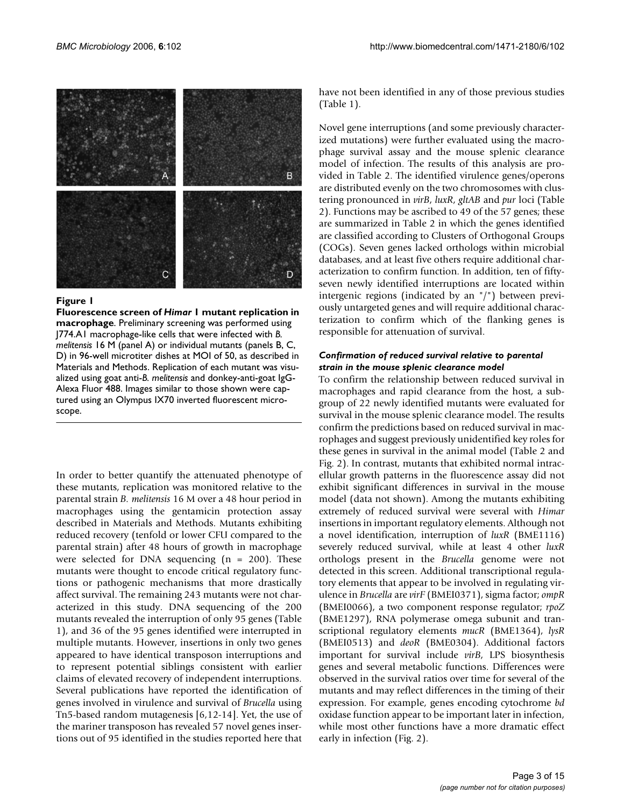

#### Figure 1

**Fluorescence screen of** *Himar* **1 mutant replication in macrophage**. Preliminary screening was performed using J774.A1 macrophage-like cells that were infected with *B. melitensis* 16 M (panel A) or individual mutants (panels B, C, D) in 96-well microtiter dishes at MOI of 50, as described in Materials and Methods. Replication of each mutant was visualized using goat anti-*B. melitensis* and donkey-anti-goat IgG-Alexa Fluor 488. Images similar to those shown were captured using an Olympus IX70 inverted fluorescent microscope.

In order to better quantify the attenuated phenotype of these mutants, replication was monitored relative to the parental strain *B. melitensis* 16 M over a 48 hour period in macrophages using the gentamicin protection assay described in Materials and Methods. Mutants exhibiting reduced recovery (tenfold or lower CFU compared to the parental strain) after 48 hours of growth in macrophage were selected for DNA sequencing  $(n = 200)$ . These mutants were thought to encode critical regulatory functions or pathogenic mechanisms that more drastically affect survival. The remaining 243 mutants were not characterized in this study. DNA sequencing of the 200 mutants revealed the interruption of only 95 genes (Table 1), and 36 of the 95 genes identified were interrupted in multiple mutants. However, insertions in only two genes appeared to have identical transposon interruptions and to represent potential siblings consistent with earlier claims of elevated recovery of independent interruptions. Several publications have reported the identification of genes involved in virulence and survival of *Brucella* using Tn5-based random mutagenesis [6,12-14]. Yet, the use of the mariner transposon has revealed 57 novel genes insertions out of 95 identified in the studies reported here that have not been identified in any of those previous studies (Table 1).

Novel gene interruptions (and some previously characterized mutations) were further evaluated using the macrophage survival assay and the mouse splenic clearance model of infection. The results of this analysis are provided in Table 2. The identified virulence genes/operons are distributed evenly on the two chromosomes with clustering pronounced in *virB*, *luxR*, *gltAB* and *pur* loci (Table 2). Functions may be ascribed to 49 of the 57 genes; these are summarized in Table 2 in which the genes identified are classified according to Clusters of Orthogonal Groups (COGs). Seven genes lacked orthologs within microbial databases, and at least five others require additional characterization to confirm function. In addition, ten of fiftyseven newly identified interruptions are located within intergenic regions (indicated by an "/") between previously untargeted genes and will require additional characterization to confirm which of the flanking genes is responsible for attenuation of survival.

# *Confirmation of reduced survival relative to parental strain in the mouse splenic clearance model*

To confirm the relationship between reduced survival in macrophages and rapid clearance from the host, a subgroup of 22 newly identified mutants were evaluated for survival in the mouse splenic clearance model. The results confirm the predictions based on reduced survival in macrophages and suggest previously unidentified key roles for these genes in survival in the animal model (Table 2 and Fig. 2). In contrast, mutants that exhibited normal intracellular growth patterns in the fluorescence assay did not exhibit significant differences in survival in the mouse model (data not shown). Among the mutants exhibiting extremely of reduced survival were several with *Himar* insertions in important regulatory elements. Although not a novel identification, interruption of *luxR* (BME1116) severely reduced survival, while at least 4 other *luxR* orthologs present in the *Brucella* genome were not detected in this screen. Additional transcriptional regulatory elements that appear to be involved in regulating virulence in *Brucella* are *virF* (BMEI0371), sigma factor; *ompR* (BMEI0066), a two component response regulator; *rpoZ* (BME1297), RNA polymerase omega subunit and transcriptional regulatory elements *mucR* (BME1364), *lysR* (BMEI0513) and *deoR* (BME0304). Additional factors important for survival include *virB*, LPS biosynthesis genes and several metabolic functions. Differences were observed in the survival ratios over time for several of the mutants and may reflect differences in the timing of their expression. For example, genes encoding cytochrome *bd* oxidase function appear to be important later in infection, while most other functions have a more dramatic effect early in infection (Fig. 2).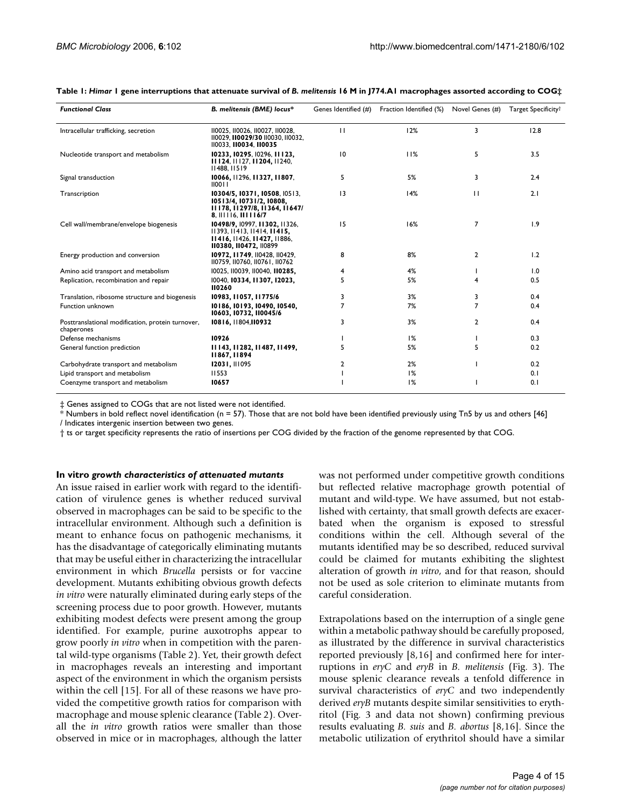| <b>Functional Class</b>                                         | B. melitensis (BME) locus*                                                                                                   | Genes Identified (#) | Fraction Identified (%) | Novel Genes (#) | Target Specificity <sup>†</sup> |
|-----------------------------------------------------------------|------------------------------------------------------------------------------------------------------------------------------|----------------------|-------------------------|-----------------|---------------------------------|
| Intracellular trafficking, secretion                            | II0025, II0026, II0027, II0028,<br>II0029, II0029/30 II0030, II0032,<br>110033, 110034, 110035                               | $\mathbf{H}$         | 12%                     | 3               | 12.8                            |
| Nucleotide transport and metabolism                             | 10233, 10295, 10296, 11123,<br>11124, 11127, 11204, 11240,<br>11488, 11519                                                   | $\overline{10}$      | 11%                     | 5               | 3.5                             |
| Signal transduction                                             | 10066, 11296, 11327, 11807,<br>110011                                                                                        | 5                    | 5%                      | 3               | 2.4                             |
| Transcription                                                   | 10304/5, 10371, 10508, 10513,<br>10513/4, 10731/2, 10808,<br>11178, 11297/8, 11364, 11647/<br>8, 11116, 111116/7             | 3                    | 14%                     | $\mathbf{H}$    | 2.1                             |
| Cell wall/membrane/envelope biogenesis                          | 10498/9, 10997, 11302, 11326,<br>11393, 11413, 11414, 11415,<br>11416, 11426, 11427, 11886,<br><b>110380, 110472, 110899</b> | 15                   | 16%                     | 7               | 1.9                             |
| Energy production and conversion                                | 10972, 11749, 110428, 110429,<br>II0759, II0760, II0761, II0762                                                              | 8                    | 8%                      | $\overline{2}$  | 1.2                             |
| Amino acid transport and metabolism                             | 10025, 110039, 110040, 110285,                                                                                               | 4                    | 4%                      |                 | 1.0                             |
| Replication, recombination and repair                           | 10040, 10334, 11307, 12023,<br>110260                                                                                        | 5                    | 5%                      | 4               | 0.5                             |
| Translation, ribosome structure and biogenesis                  | 10983, 11057, 11775/6                                                                                                        | 3                    | 3%                      | 3               | 0.4                             |
| Function unknown                                                | 10186, 10193, 10490, 10540,<br>10603, 10732, 110045/6                                                                        | $\overline{7}$       | 7%                      | 7               | 0.4                             |
| Posttranslational modification, protein turnover,<br>chaperones | 10816, 11804, 110932                                                                                                         | 3                    | 3%                      | $\overline{2}$  | 0.4                             |
| Defense mechanisms                                              | 10926                                                                                                                        |                      | 1%                      |                 | 0.3                             |
| General function prediction                                     | 11143, 11282, 11487, 11499,<br>11867, 11894                                                                                  | 5                    | 5%                      | 5               | 0.2                             |
| Carbohydrate transport and metabolism                           | 12031, II1095                                                                                                                | 2                    | 2%                      |                 | 0.2                             |
| Lipid transport and metabolism                                  | 11553                                                                                                                        |                      | 1%                      |                 | 0.1                             |
| Coenzyme transport and metabolism                               | 10657                                                                                                                        |                      | 1%                      |                 | 0.1                             |

**Table 1:** *Himar* **1 gene interruptions that attenuate survival of** *B. melitensis* **16 M in J774.A1 macrophages assorted according to COG‡**

‡ Genes assigned to COGs that are not listed were not identified.

\* Numbers in bold reflect novel identification (n = 57). Those that are not bold have been identified previously using Tn5 by us and others [46] / Indicates intergenic insertion between two genes.

† ts or target specificity represents the ratio of insertions per COG divided by the fraction of the genome represented by that COG.

#### **In vitro** *growth characteristics of attenuated mutants*

An issue raised in earlier work with regard to the identification of virulence genes is whether reduced survival observed in macrophages can be said to be specific to the intracellular environment. Although such a definition is meant to enhance focus on pathogenic mechanisms, it has the disadvantage of categorically eliminating mutants that may be useful either in characterizing the intracellular environment in which *Brucella* persists or for vaccine development. Mutants exhibiting obvious growth defects *in vitro* were naturally eliminated during early steps of the screening process due to poor growth. However, mutants exhibiting modest defects were present among the group identified. For example, purine auxotrophs appear to grow poorly *in vitro* when in competition with the parental wild-type organisms (Table 2). Yet, their growth defect in macrophages reveals an interesting and important aspect of the environment in which the organism persists within the cell [15]. For all of these reasons we have provided the competitive growth ratios for comparison with macrophage and mouse splenic clearance (Table 2). Overall the *in vitro* growth ratios were smaller than those observed in mice or in macrophages, although the latter was not performed under competitive growth conditions but reflected relative macrophage growth potential of mutant and wild-type. We have assumed, but not established with certainty, that small growth defects are exacerbated when the organism is exposed to stressful conditions within the cell. Although several of the mutants identified may be so described, reduced survival could be claimed for mutants exhibiting the slightest alteration of growth *in vitro*, and for that reason, should not be used as sole criterion to eliminate mutants from careful consideration.

Extrapolations based on the interruption of a single gene within a metabolic pathway should be carefully proposed, as illustrated by the difference in survival characteristics reported previously [8,16] and confirmed here for interruptions in *eryC* and *eryB* in *B. melitensis* (Fig. 3). The mouse splenic clearance reveals a tenfold difference in survival characteristics of *eryC* and two independently derived *eryB* mutants despite similar sensitivities to erythritol (Fig. 3 and data not shown) confirming previous results evaluating *B. suis* and *B. abortus* [8,16]. Since the metabolic utilization of erythritol should have a similar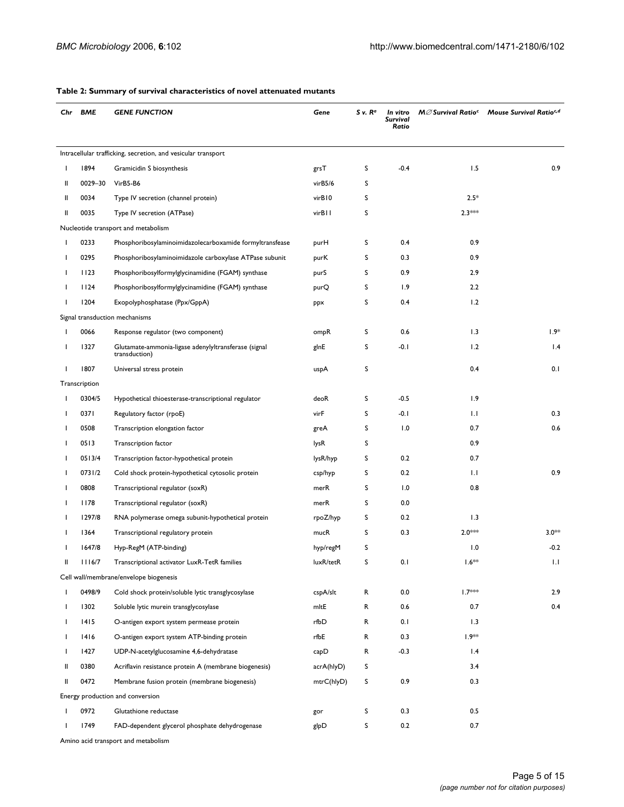| Chr          | <b>BME</b>                             | <b>GENE FUNCTION</b>                                          | Gene       | Sv. R <sup>a</sup> | In vitro<br>Survival<br>Ratio |          | MØ Survival Ratio <sup>c</sup> Mouse Survival Ratio <sup>c,d</sup> |  |
|--------------|----------------------------------------|---------------------------------------------------------------|------------|--------------------|-------------------------------|----------|--------------------------------------------------------------------|--|
|              |                                        | Intracellular trafficking, secretion, and vesicular transport |            |                    |                               |          |                                                                    |  |
| $\mathbf{I}$ | 1894                                   | Gramicidin S biosynthesis                                     | grsT       | s                  | $-0.4$                        | 1.5      | 0.9                                                                |  |
| Ш            | 0029-30                                | VirB5-B6                                                      | virB5/6    | S                  |                               |          |                                                                    |  |
| Ш            | 0034                                   | Type IV secretion (channel protein)                           | virB10     | s                  |                               | $2.5*$   |                                                                    |  |
| Ш            | 0035                                   | Type IV secretion (ATPase)                                    | virBII     | s                  |                               | $2.3***$ |                                                                    |  |
|              |                                        | Nucleotide transport and metabolism                           |            |                    |                               |          |                                                                    |  |
| $\mathbf{I}$ | 0233                                   | Phosphoribosylaminoimidazolecarboxamide formyltransfease      | purH       | s                  | 0.4                           | 0.9      |                                                                    |  |
| T            | 0295                                   | Phosphoribosylaminoimidazole carboxylase ATPase subunit       | purK       | s                  | 0.3                           | 0.9      |                                                                    |  |
| T            | 1123                                   | Phosphoribosylformylglycinamidine (FGAM) synthase             | purS       | S                  | 0.9                           | 2.9      |                                                                    |  |
| T            | 1124                                   | Phosphoribosylformylglycinamidine (FGAM) synthase             | purQ       | s                  | 1.9                           | 2.2      |                                                                    |  |
| $\mathbf{I}$ | 1204                                   | Exopolyphosphatase (Ppx/GppA)                                 | ppx        | S                  | 0.4                           | 1.2      |                                                                    |  |
|              |                                        | Signal transduction mechanisms                                |            |                    |                               |          |                                                                    |  |
|              | 0066                                   | Response regulator (two component)                            | ompR       | s                  | 0.6                           | 1.3      | $1.9*$                                                             |  |
| T            | 1327                                   | Glutamate-ammonia-ligase adenylyltransferase (signal          | glnE       | s                  | $-0.1$                        | 1.2      | $\mathsf{I}$ .4                                                    |  |
|              |                                        | transduction)                                                 |            |                    |                               |          |                                                                    |  |
| $\mathbf{I}$ | 1807                                   | Universal stress protein                                      | uspA       | s                  |                               | 0.4      | 0.1                                                                |  |
|              | Transcription                          |                                                               |            |                    |                               |          |                                                                    |  |
| T            | 0304/5                                 | Hypothetical thioesterase-transcriptional regulator           | deoR       | S                  | $-0.5$                        | 1.9      |                                                                    |  |
| $\mathbf{I}$ | 0371                                   | Regulatory factor (rpoE)                                      | virF       | s                  | $-0.1$                        | 1.1      | 0.3                                                                |  |
| $\mathbf{I}$ | 0508                                   | Transcription elongation factor                               | greA       | s                  | 1.0                           | 0.7      | 0.6                                                                |  |
| T            | 0513                                   | Transcription factor                                          | lysR       | s                  |                               | 0.9      |                                                                    |  |
| 1            | 0513/4                                 | Transcription factor-hypothetical protein                     | lysR/hyp   | s                  | 0.2                           | 0.7      |                                                                    |  |
| $\mathbf{I}$ | 0731/2                                 | Cold shock protein-hypothetical cytosolic protein             | csp/hyp    | S                  | 0.2                           | 1.1      | 0.9                                                                |  |
| T            | 0808                                   | Transcriptional regulator (soxR)                              | merR       | s                  | 1.0                           | 0.8      |                                                                    |  |
| T            | 1178                                   | Transcriptional regulator (soxR)                              | merR       | S                  | 0.0                           |          |                                                                    |  |
| T            | 1297/8                                 | RNA polymerase omega subunit-hypothetical protein             | rpoZ/hyp   | S                  | 0.2                           | 1.3      |                                                                    |  |
| T            | 1364                                   | Transcriptional regulatory protein                            | mucR       | S                  | 0.3                           | $2.0***$ | $3.0**$                                                            |  |
|              | 1647/8                                 | Hyp-RegM (ATP-binding)                                        | hyp/regM   | S                  |                               | 1.0      | $-0.2$                                                             |  |
| Ш            | 1116/7                                 | Transcriptional activator LuxR-TetR families                  | luxR/tetR  | S                  | 0. I                          | $1.6***$ | IJ                                                                 |  |
|              | Cell wall/membrane/envelope biogenesis |                                                               |            |                    |                               |          |                                                                    |  |
| $\mathbf{I}$ | 0498/9                                 | Cold shock protein/soluble lytic transglycosylase             | cspA/slt   | R                  | 0.0                           | $1.7***$ | 2.9                                                                |  |
| L            | 1302                                   | Soluble lytic murein transglycosylase                         | mltE       | R                  | 0.6                           | 0.7      | 0.4                                                                |  |
| $\mathbf{I}$ | 1415                                   | O-antigen export system permease protein                      | rfbD       | R                  | 0.1                           | 1.3      |                                                                    |  |
| $\mathbf{I}$ | 1416                                   | O-antigen export system ATP-binding protein                   | rfbE       | R                  | 0.3                           | $1.9**$  |                                                                    |  |
| $\mathbf{I}$ | 1427                                   | UDP-N-acetylglucosamine 4,6-dehydratase                       | capD       | R                  | $-0.3$                        | 1.4      |                                                                    |  |
| Ш            | 0380                                   | Acriflavin resistance protein A (membrane biogenesis)         | acrA(hlyD) | s                  |                               | 3.4      |                                                                    |  |
| Ш            | 0472                                   | Membrane fusion protein (membrane biogenesis)                 | mtrC(hlyD) | s                  | 0.9                           | 0.3      |                                                                    |  |
|              |                                        | Energy production and conversion                              |            |                    |                               |          |                                                                    |  |
|              | 0972                                   | Glutathione reductase                                         | gor        | s                  | 0.3                           | 0.5      |                                                                    |  |
| T            | 1749                                   | FAD-dependent glycerol phosphate dehydrogenase                | glpD       | s                  | 0.2                           | 0.7      |                                                                    |  |

#### **Table 2: Summary of survival characteristics of novel attenuated mutants**

Amino acid transport and metabolism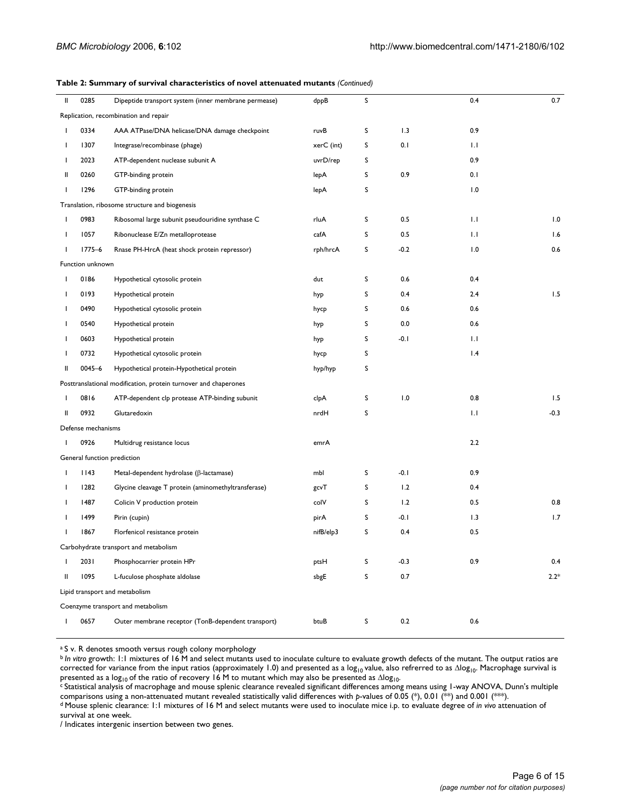| Table 2: Summary of survival characteristics of novel attenuated mutants (Continued) |  |  |  |
|--------------------------------------------------------------------------------------|--|--|--|
|--------------------------------------------------------------------------------------|--|--|--|

| Ш            | 0285                        | Dipeptide transport system (inner membrane permease)            | dppB       | s |        | 0.4 | 0.7    |
|--------------|-----------------------------|-----------------------------------------------------------------|------------|---|--------|-----|--------|
|              |                             | Replication, recombination and repair                           |            |   |        |     |        |
| 1            | 0334                        | AAA ATPase/DNA helicase/DNA damage checkpoint                   | ruvB       | s | 1.3    | 0.9 |        |
| T            | 1307                        | Integrase/recombinase (phage)                                   | xerC (int) | S | 0.1    | 1.1 |        |
| 1            | 2023                        | ATP-dependent nuclease subunit A                                | uvrD/rep   | S |        | 0.9 |        |
| Ш            | 0260                        | GTP-binding protein                                             | lepA       | S | 0.9    | 0.1 |        |
| $\mathbf{I}$ | 1296                        | GTP-binding protein                                             | lepA       | S |        | 1.0 |        |
|              |                             | Translation, ribosome structure and biogenesis                  |            |   |        |     |        |
|              | 0983                        | Ribosomal large subunit pseudouridine synthase C                | rluA       | s | 0.5    | 1.1 | 1.0    |
| 1            | 1057                        | Ribonuclease E/Zn metalloprotease                               | cafA       | S | 0.5    | 1.1 | 1.6    |
| T            | $1775 - 6$                  | Rnase PH-HrcA (heat shock protein repressor)                    | rph/hrcA   | S | $-0.2$ | 1.0 | 0.6    |
|              | Function unknown            |                                                                 |            |   |        |     |        |
| ı            | 0186                        | Hypothetical cytosolic protein                                  | dut        | S | 0.6    | 0.4 |        |
|              | 0193                        | Hypothetical protein                                            | hyp        | S | 0.4    | 2.4 | 1.5    |
| ı            | 0490                        | Hypothetical cytosolic protein                                  | hycp       | S | 0.6    | 0.6 |        |
| $\mathbf{I}$ | 0540                        | Hypothetical protein                                            | hyp        | S | 0.0    | 0.6 |        |
| T            | 0603                        | Hypothetical protein                                            | hyp        | S | $-0.1$ | 1.1 |        |
| $\mathbf{I}$ | 0732                        | Hypothetical cytosolic protein                                  | hycp       | S |        | 1.4 |        |
| Ш            | $0045 - 6$                  | Hypothetical protein-Hypothetical protein                       | hyp/hyp    | S |        |     |        |
|              |                             | Posttranslational modification, protein turnover and chaperones |            |   |        |     |        |
| Ш            | 0816                        | ATP-dependent clp protease ATP-binding subunit                  | clpA       | s | 1.0    | 0.8 | 1.5    |
| Ш            | 0932                        | Glutaredoxin                                                    | nrdH       | S |        | 1.1 | $-0.3$ |
|              | Defense mechanisms          |                                                                 |            |   |        |     |        |
|              | 0926                        | Multidrug resistance locus                                      | emrA       |   |        | 2.2 |        |
|              | General function prediction |                                                                 |            |   |        |     |        |
| 1            | 1143                        | Metal-dependent hydrolase (β-lactamase)                         | mbl        | s | $-0.1$ | 0.9 |        |
| $\mathbf{I}$ | 1282                        | Glycine cleavage T protein (aminomethyltransferase)             | gcvT       | S | 1.2    | 0.4 |        |
|              | 1487                        | Colicin V production protein                                    | colV       | s | 1.2    | 0.5 | 0.8    |
| 1            | 1499                        | Pirin (cupin)                                                   | pirA       | S | $-0.1$ | 1.3 | 1.7    |
|              | 1867                        | Florfenicol resistance protein                                  | nifB/elp3  | S | 0.4    | 0.5 |        |
|              |                             | Carbohydrate transport and metabolism                           |            |   |        |     |        |
| 1            | 2031                        | Phosphocarrier protein HPr                                      | ptsH       | s | $-0.3$ | 0.9 | 0.4    |
| Ш            | 1095                        | L-fuculose phosphate aldolase                                   | sbgE       | S | 0.7    |     | $2.2*$ |
|              |                             | Lipid transport and metabolism                                  |            |   |        |     |        |
|              |                             | Coenzyme transport and metabolism                               |            |   |        |     |        |
| ı            | 0657                        | Outer membrane receptor (TonB-dependent transport)              | btuB       | s | 0.2    | 0.6 |        |

<sup>a</sup> S v. R denotes smooth versus rough colony morphology

/ Indicates intergenic insertion between two genes.

<sup>b</sup>*In vitro* growth: 1:1 mixtures of 16 M and select mutants used to inoculate culture to evaluate growth defects of the mutant. The output ratios are corrected for variance from the input ratios (approximately 1.0) and presented as a log<sub>10</sub> value, also refrerred to as  $\Delta \log_{10}$ . Macrophage survival is presented as a  $log_{10}$  of the ratio of recovery 16 M to mutant which may also be presented as  $\Delta log_{10}$ .<br>
"Statistical analysis of macrophage and mouse splenic clearance revealed significant differences among means using

comparisons using a non-attenuated mutant revealed statistically valid differences with *p*-values of 0.05 (\*), 0.01 (\*\*) and 0.001 (\*\*\*).

d Mouse splenic clearance: 1:1 mixtures of 16 M and select mutants were used to inoculate mice i.p. to evaluate degree of *in vivo* attenuation of survival at one week.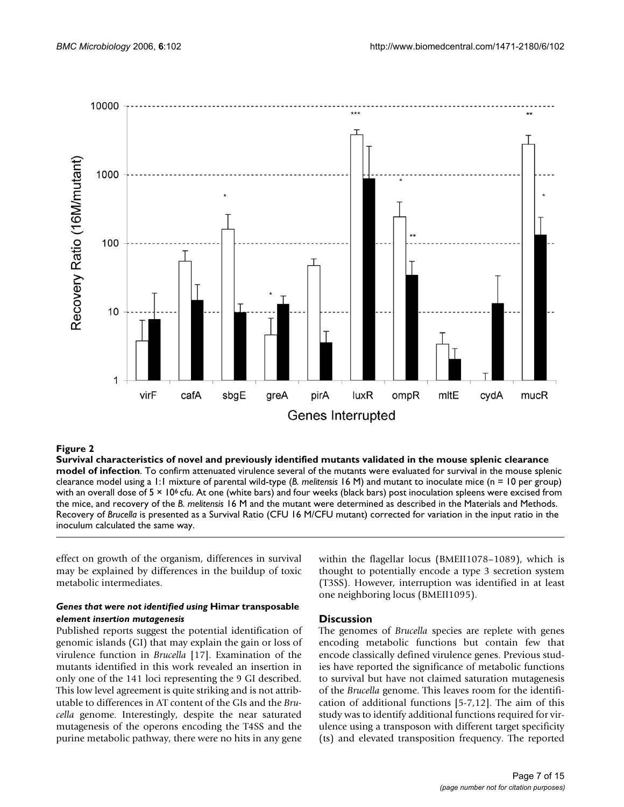

#### Survival characteristics of novel and prev **Figure 2** iously identified mutants validated in the mouse splenic clearance model of infection

**Survival characteristics of novel and previously identified mutants validated in the mouse splenic clearance model of infection**. To confirm attenuated virulence several of the mutants were evaluated for survival in the mouse splenic clearance model using a 1:1 mixture of parental wild-type (*B. melitensis* 16 M) and mutant to inoculate mice (n = 10 per group) with an overall dose of  $5 \times 10^6$  cfu. At one (white bars) and four weeks (black bars) post inoculation spleens were excised from the mice, and recovery of the *B. melitensis* 16 M and the mutant were determined as described in the Materials and Methods. Recovery of *Brucella* is presented as a Survival Ratio (CFU 16 M/CFU mutant) corrected for variation in the input ratio in the inoculum calculated the same way.

effect on growth of the organism, differences in survival may be explained by differences in the buildup of toxic metabolic intermediates.

#### *Genes that were not identified using* **Himar transposable**  *element insertion mutagenesis*

Published reports suggest the potential identification of genomic islands (GI) that may explain the gain or loss of virulence function in *Brucella* [17]. Examination of the mutants identified in this work revealed an insertion in only one of the 141 loci representing the 9 GI described. This low level agreement is quite striking and is not attributable to differences in AT content of the GIs and the *Brucella* genome. Interestingly, despite the near saturated mutagenesis of the operons encoding the T4SS and the purine metabolic pathway, there were no hits in any gene within the flagellar locus (BMEII1078–1089), which is thought to potentially encode a type 3 secretion system (T3SS). However, interruption was identified in at least one neighboring locus (BMEII1095).

#### **Discussion**

The genomes of *Brucella* species are replete with genes encoding metabolic functions but contain few that encode classically defined virulence genes. Previous studies have reported the significance of metabolic functions to survival but have not claimed saturation mutagenesis of the *Brucella* genome. This leaves room for the identification of additional functions [5-7,12]. The aim of this study was to identify additional functions required for virulence using a transposon with different target specificity (ts) and elevated transposition frequency. The reported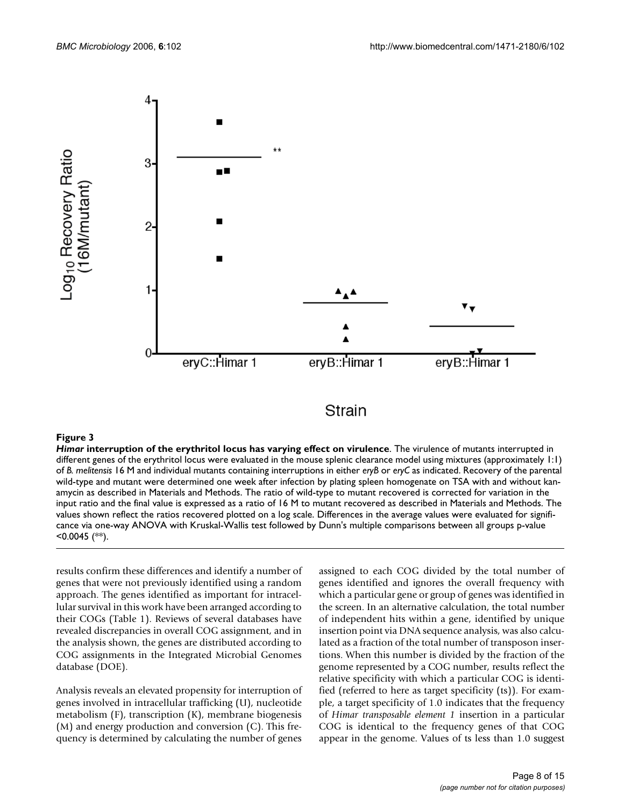

# **Figure 3**

*Himar* **interruption of the erythritol locus has varying effect on virulence**. The virulence of mutants interrupted in different genes of the erythritol locus were evaluated in the mouse splenic clearance model using mixtures (approximately 1:1) of *B. melitensis* 16 M and individual mutants containing interruptions in either *eryB* or *eryC* as indicated. Recovery of the parental wild-type and mutant were determined one week after infection by plating spleen homogenate on TSA with and without kanamycin as described in Materials and Methods. The ratio of wild-type to mutant recovered is corrected for variation in the input ratio and the final value is expressed as a ratio of 16 M to mutant recovered as described in Materials and Methods. The values shown reflect the ratios recovered plotted on a log scale. Differences in the average values were evaluated for significance via one-way ANOVA with Kruskal-Wallis test followed by Dunn's multiple comparisons between all groups p-value  $<$ 0.0045 (\*\*).

results confirm these differences and identify a number of genes that were not previously identified using a random approach. The genes identified as important for intracellular survival in this work have been arranged according to their COGs (Table 1). Reviews of several databases have revealed discrepancies in overall COG assignment, and in the analysis shown, the genes are distributed according to COG assignments in the Integrated Microbial Genomes database (DOE).

Analysis reveals an elevated propensity for interruption of genes involved in intracellular trafficking (U), nucleotide metabolism (F), transcription (K), membrane biogenesis (M) and energy production and conversion (C). This frequency is determined by calculating the number of genes assigned to each COG divided by the total number of genes identified and ignores the overall frequency with which a particular gene or group of genes was identified in the screen. In an alternative calculation, the total number of independent hits within a gene, identified by unique insertion point via DNA sequence analysis, was also calculated as a fraction of the total number of transposon insertions. When this number is divided by the fraction of the genome represented by a COG number, results reflect the relative specificity with which a particular COG is identified (referred to here as target specificity (ts)). For example, a target specificity of 1.0 indicates that the frequency of *Himar transposable element 1* insertion in a particular COG is identical to the frequency genes of that COG appear in the genome. Values of ts less than 1.0 suggest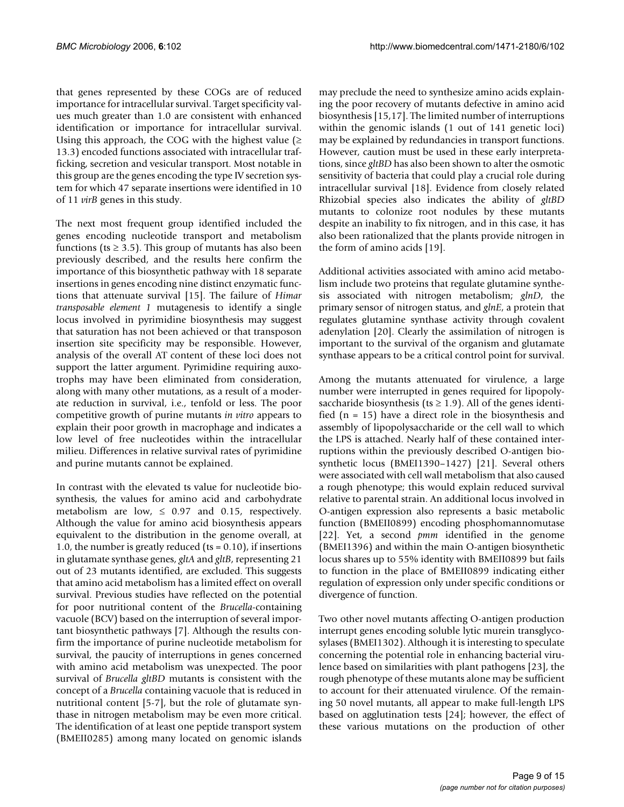that genes represented by these COGs are of reduced importance for intracellular survival. Target specificity values much greater than 1.0 are consistent with enhanced identification or importance for intracellular survival. Using this approach, the COG with the highest value ( $\geq$ 13.3) encoded functions associated with intracellular trafficking, secretion and vesicular transport. Most notable in this group are the genes encoding the type IV secretion system for which 47 separate insertions were identified in 10 of 11 *virB* genes in this study.

The next most frequent group identified included the genes encoding nucleotide transport and metabolism functions (ts  $\geq$  3.5). This group of mutants has also been previously described, and the results here confirm the importance of this biosynthetic pathway with 18 separate insertions in genes encoding nine distinct enzymatic functions that attenuate survival [15]. The failure of *Himar transposable element 1* mutagenesis to identify a single locus involved in pyrimidine biosynthesis may suggest that saturation has not been achieved or that transposon insertion site specificity may be responsible. However, analysis of the overall AT content of these loci does not support the latter argument. Pyrimidine requiring auxotrophs may have been eliminated from consideration, along with many other mutations, as a result of a moderate reduction in survival, i.e., tenfold or less. The poor competitive growth of purine mutants *in vitro* appears to explain their poor growth in macrophage and indicates a low level of free nucleotides within the intracellular milieu. Differences in relative survival rates of pyrimidine and purine mutants cannot be explained.

In contrast with the elevated ts value for nucleotide biosynthesis, the values for amino acid and carbohydrate metabolism are low,  $\leq 0.97$  and 0.15, respectively. Although the value for amino acid biosynthesis appears equivalent to the distribution in the genome overall, at 1.0, the number is greatly reduced (ts =  $0.10$ ), if insertions in glutamate synthase genes, *gltA* and *gltB*, representing 21 out of 23 mutants identified, are excluded. This suggests that amino acid metabolism has a limited effect on overall survival. Previous studies have reflected on the potential for poor nutritional content of the *Brucella*-containing vacuole (BCV) based on the interruption of several important biosynthetic pathways [7]. Although the results confirm the importance of purine nucleotide metabolism for survival, the paucity of interruptions in genes concerned with amino acid metabolism was unexpected. The poor survival of *Brucella gltBD* mutants is consistent with the concept of a *Brucella* containing vacuole that is reduced in nutritional content [5-7], but the role of glutamate synthase in nitrogen metabolism may be even more critical. The identification of at least one peptide transport system (BMEII0285) among many located on genomic islands

may preclude the need to synthesize amino acids explaining the poor recovery of mutants defective in amino acid biosynthesis [15,17]. The limited number of interruptions within the genomic islands (1 out of 141 genetic loci) may be explained by redundancies in transport functions. However, caution must be used in these early interpretations, since *gltBD* has also been shown to alter the osmotic sensitivity of bacteria that could play a crucial role during intracellular survival [18]. Evidence from closely related Rhizobial species also indicates the ability of *gltBD* mutants to colonize root nodules by these mutants despite an inability to fix nitrogen, and in this case, it has also been rationalized that the plants provide nitrogen in the form of amino acids [19].

Additional activities associated with amino acid metabolism include two proteins that regulate glutamine synthesis associated with nitrogen metabolism; *glnD*, the primary sensor of nitrogen status, and *glnE*, a protein that regulates glutamine synthase activity through covalent adenylation [20]. Clearly the assimilation of nitrogen is important to the survival of the organism and glutamate synthase appears to be a critical control point for survival.

Among the mutants attenuated for virulence, a large number were interrupted in genes required for lipopolysaccharide biosynthesis (ts  $\geq$  1.9). All of the genes identified  $(n = 15)$  have a direct role in the biosynthesis and assembly of lipopolysaccharide or the cell wall to which the LPS is attached. Nearly half of these contained interruptions within the previously described O-antigen biosynthetic locus (BMEI1390–1427) [21]. Several others were associated with cell wall metabolism that also caused a rough phenotype; this would explain reduced survival relative to parental strain. An additional locus involved in O-antigen expression also represents a basic metabolic function (BMEII0899) encoding phosphomannomutase [22]. Yet, a second *pmm* identified in the genome (BMEI1396) and within the main O-antigen biosynthetic locus shares up to 55% identity with BMEII0899 but fails to function in the place of BMEII0899 indicating either regulation of expression only under specific conditions or divergence of function.

Two other novel mutants affecting O-antigen production interrupt genes encoding soluble lytic murein transglycosylases (BMEI1302). Although it is interesting to speculate concerning the potential role in enhancing bacterial virulence based on similarities with plant pathogens [23], the rough phenotype of these mutants alone may be sufficient to account for their attenuated virulence. Of the remaining 50 novel mutants, all appear to make full-length LPS based on agglutination tests [24]; however, the effect of these various mutations on the production of other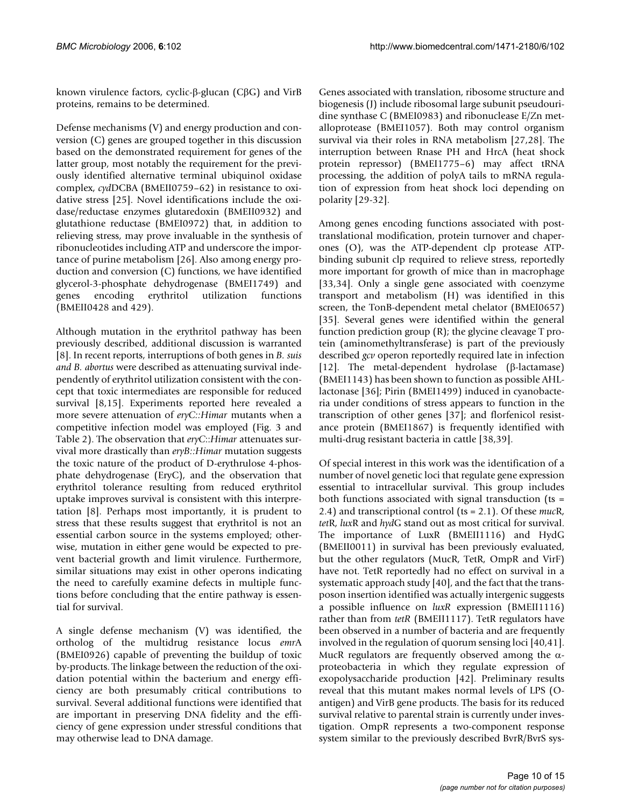known virulence factors, cyclic-β-glucan (CβG) and VirB proteins, remains to be determined.

Defense mechanisms (V) and energy production and conversion (C) genes are grouped together in this discussion based on the demonstrated requirement for genes of the latter group, most notably the requirement for the previously identified alternative terminal ubiquinol oxidase complex, *cyd*DCBA (BMEII0759–62) in resistance to oxidative stress [25]. Novel identifications include the oxidase/reductase enzymes glutaredoxin (BMEII0932) and glutathione reductase (BMEI0972) that, in addition to relieving stress, may prove invaluable in the synthesis of ribonucleotides including ATP and underscore the importance of purine metabolism [26]. Also among energy production and conversion (C) functions, we have identified glycerol-3-phosphate dehydrogenase (BMEI1749) and genes encoding erythritol utilization functions (BMEII0428 and 429).

Although mutation in the erythritol pathway has been previously described, additional discussion is warranted [8]. In recent reports, interruptions of both genes in *B. suis and B. abortus* were described as attenuating survival independently of erythritol utilization consistent with the concept that toxic intermediates are responsible for reduced survival [8,15]. Experiments reported here revealed a more severe attenuation of *eryC::Himar* mutants when a competitive infection model was employed (Fig. 3 and Table 2). The observation that *eryC*::*Himar* attenuates survival more drastically than *eryB::Himar* mutation suggests the toxic nature of the product of D-erythrulose 4-phosphate dehydrogenase (EryC), and the observation that erythritol tolerance resulting from reduced erythritol uptake improves survival is consistent with this interpretation [8]. Perhaps most importantly, it is prudent to stress that these results suggest that erythritol is not an essential carbon source in the systems employed; otherwise, mutation in either gene would be expected to prevent bacterial growth and limit virulence. Furthermore, similar situations may exist in other operons indicating the need to carefully examine defects in multiple functions before concluding that the entire pathway is essential for survival.

A single defense mechanism (V) was identified, the ortholog of the multidrug resistance locus *emr*A (BMEI0926) capable of preventing the buildup of toxic by-products. The linkage between the reduction of the oxidation potential within the bacterium and energy efficiency are both presumably critical contributions to survival. Several additional functions were identified that are important in preserving DNA fidelity and the efficiency of gene expression under stressful conditions that may otherwise lead to DNA damage.

Genes associated with translation, ribosome structure and biogenesis (J) include ribosomal large subunit pseudouridine synthase C (BMEI0983) and ribonuclease E/Zn metalloprotease (BMEI1057). Both may control organism survival via their roles in RNA metabolism [27,28]. The interruption between Rnase PH and HrcA (heat shock protein repressor) (BMEI1775–6) may affect tRNA processing, the addition of polyA tails to mRNA regulation of expression from heat shock loci depending on polarity [29-32].

Among genes encoding functions associated with posttranslational modification, protein turnover and chaperones (O), was the ATP-dependent clp protease ATPbinding subunit clp required to relieve stress, reportedly more important for growth of mice than in macrophage [33,34]. Only a single gene associated with coenzyme transport and metabolism (H) was identified in this screen, the TonB-dependent metal chelator (BMEI0657) [35]. Several genes were identified within the general function prediction group (R); the glycine cleavage T protein (aminomethyltransferase) is part of the previously described *gcv* operon reportedly required late in infection [12]. The metal-dependent hydrolase (β-lactamase) (BMEI1143) has been shown to function as possible AHLlactonase [36]; Pirin (BMEI1499) induced in cyanobacteria under conditions of stress appears to function in the transcription of other genes [37]; and florfenicol resistance protein (BMEI1867) is frequently identified with multi-drug resistant bacteria in cattle [38,39].

Of special interest in this work was the identification of a number of novel genetic loci that regulate gene expression essential to intracellular survival. This group includes both functions associated with signal transduction (ts = 2.4) and transcriptional control (ts = 2.1). Of these *muc*R, *tet*R, *lux*R and *hyd*G stand out as most critical for survival. The importance of LuxR (BMEII1116) and HydG (BMEII0011) in survival has been previously evaluated, but the other regulators (MucR, TetR, OmpR and VirF) have not. TetR reportedly had no effect on survival in a systematic approach study [40], and the fact that the transposon insertion identified was actually intergenic suggests a possible influence on *luxR* expression (BMEII1116) rather than from *tetR* (BMEII1117). TetR regulators have been observed in a number of bacteria and are frequently involved in the regulation of quorum sensing loci [40,41]. MucR regulators are frequently observed among the  $\alpha$ proteobacteria in which they regulate expression of exopolysaccharide production [42]. Preliminary results reveal that this mutant makes normal levels of LPS (Oantigen) and VirB gene products. The basis for its reduced survival relative to parental strain is currently under investigation. OmpR represents a two-component response system similar to the previously described BvrR/BvrS sys-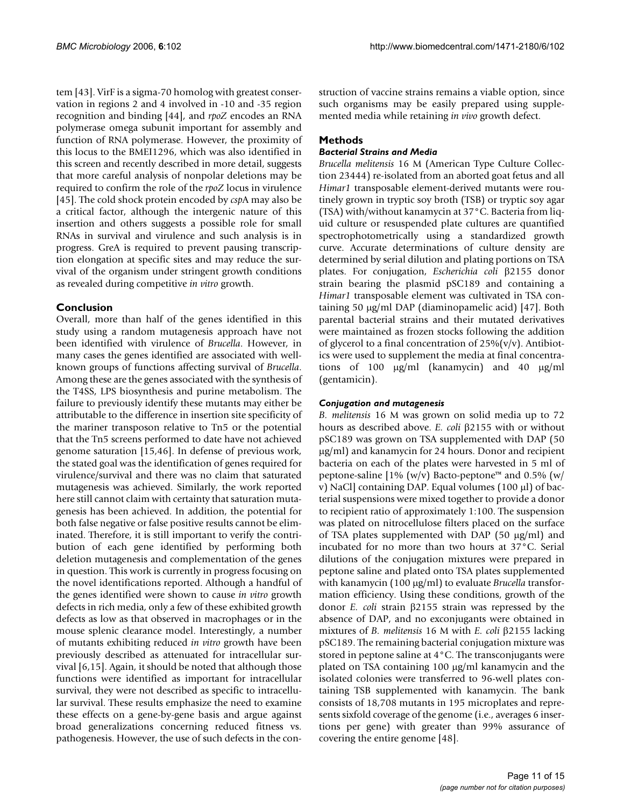tem [43]. VirF is a sigma-70 homolog with greatest conservation in regions 2 and 4 involved in -10 and -35 region recognition and binding [44], and *rpoZ* encodes an RNA polymerase omega subunit important for assembly and function of RNA polymerase. However, the proximity of this locus to the BMEI1296, which was also identified in this screen and recently described in more detail, suggests that more careful analysis of nonpolar deletions may be required to confirm the role of the *rpoZ* locus in virulence [45]. The cold shock protein encoded by *csp*A may also be a critical factor, although the intergenic nature of this insertion and others suggests a possible role for small RNAs in survival and virulence and such analysis is in progress. GreA is required to prevent pausing transcription elongation at specific sites and may reduce the survival of the organism under stringent growth conditions as revealed during competitive *in vitro* growth.

# **Conclusion**

Overall, more than half of the genes identified in this study using a random mutagenesis approach have not been identified with virulence of *Brucella*. However, in many cases the genes identified are associated with wellknown groups of functions affecting survival of *Brucella*. Among these are the genes associated with the synthesis of the T4SS, LPS biosynthesis and purine metabolism. The failure to previously identify these mutants may either be attributable to the difference in insertion site specificity of the mariner transposon relative to Tn5 or the potential that the Tn5 screens performed to date have not achieved genome saturation [15,46]. In defense of previous work, the stated goal was the identification of genes required for virulence/survival and there was no claim that saturated mutagenesis was achieved. Similarly, the work reported here still cannot claim with certainty that saturation mutagenesis has been achieved. In addition, the potential for both false negative or false positive results cannot be eliminated. Therefore, it is still important to verify the contribution of each gene identified by performing both deletion mutagenesis and complementation of the genes in question. This work is currently in progress focusing on the novel identifications reported. Although a handful of the genes identified were shown to cause *in vitro* growth defects in rich media, only a few of these exhibited growth defects as low as that observed in macrophages or in the mouse splenic clearance model. Interestingly, a number of mutants exhibiting reduced *in vitro* growth have been previously described as attenuated for intracellular survival [6,15]. Again, it should be noted that although those functions were identified as important for intracellular survival, they were not described as specific to intracellular survival. These results emphasize the need to examine these effects on a gene-by-gene basis and argue against broad generalizations concerning reduced fitness vs. pathogenesis. However, the use of such defects in the construction of vaccine strains remains a viable option, since such organisms may be easily prepared using supplemented media while retaining *in vivo* growth defect.

# **Methods**

# *Bacterial Strains and Media*

*Brucella melitensis* 16 M (American Type Culture Collection 23444) re-isolated from an aborted goat fetus and all *Himar1* transposable element-derived mutants were routinely grown in tryptic soy broth (TSB) or tryptic soy agar (TSA) with/without kanamycin at 37°C. Bacteria from liquid culture or resuspended plate cultures are quantified spectrophotometrically using a standardized growth curve. Accurate determinations of culture density are determined by serial dilution and plating portions on TSA plates. For conjugation, *Escherichia coli* β2155 donor strain bearing the plasmid pSC189 and containing a *Himar1* transposable element was cultivated in TSA containing 50 μg/ml DAP (diaminopamelic acid) [47]. Both parental bacterial strains and their mutated derivatives were maintained as frozen stocks following the addition of glycerol to a final concentration of  $25\%(v/v)$ . Antibiotics were used to supplement the media at final concentrations of 100 μg/ml (kanamycin) and 40 μg/ml (gentamicin).

# *Conjugation and mutagenesis*

*B. melitensis* 16 M was grown on solid media up to 72 hours as described above. *E. coli* β2155 with or without pSC189 was grown on TSA supplemented with DAP (50 μg/ml) and kanamycin for 24 hours. Donor and recipient bacteria on each of the plates were harvested in 5 ml of peptone-saline  $[1\%$  (w/v) Bacto-peptone™ and 0.5% (w/ v) NaCl] containing DAP. Equal volumes (100 μl) of bacterial suspensions were mixed together to provide a donor to recipient ratio of approximately 1:100. The suspension was plated on nitrocellulose filters placed on the surface of TSA plates supplemented with DAP (50 μg/ml) and incubated for no more than two hours at 37°C. Serial dilutions of the conjugation mixtures were prepared in peptone saline and plated onto TSA plates supplemented with kanamycin (100 μg/ml) to evaluate *Brucella* transformation efficiency. Using these conditions, growth of the donor *E. coli* strain β2155 strain was repressed by the absence of DAP, and no exconjugants were obtained in mixtures of *B. melitensis* 16 M with *E. coli* β2155 lacking pSC189. The remaining bacterial conjugation mixture was stored in peptone saline at 4°C. The transconjugants were plated on TSA containing 100 μg/ml kanamycin and the isolated colonies were transferred to 96-well plates containing TSB supplemented with kanamycin. The bank consists of 18,708 mutants in 195 microplates and represents sixfold coverage of the genome (i.e., averages 6 insertions per gene) with greater than 99% assurance of covering the entire genome [48].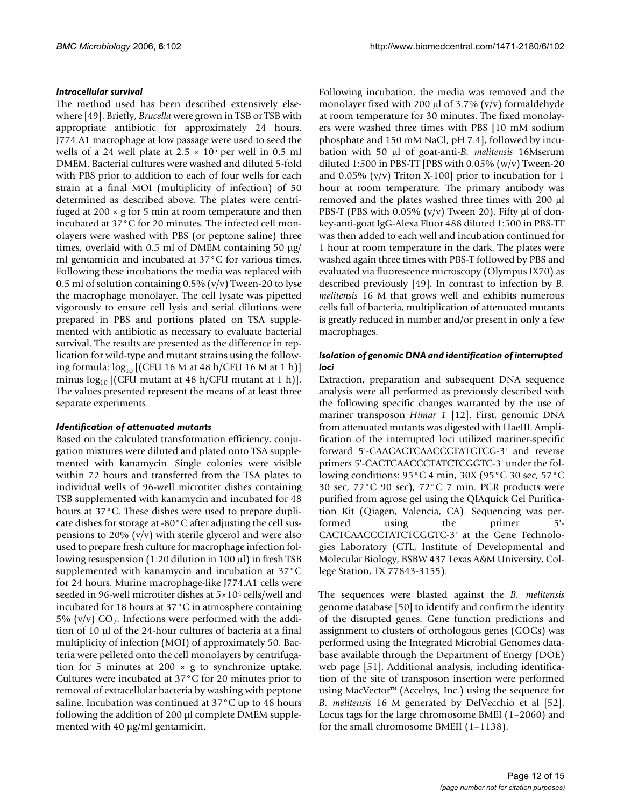#### *Intracellular survival*

The method used has been described extensively elsewhere [49]. Briefly, *Brucella* were grown in TSB or TSB with appropriate antibiotic for approximately 24 hours. J774.A1 macrophage at low passage were used to seed the wells of a 24 well plate at  $2.5 \times 10^5$  per well in 0.5 ml DMEM. Bacterial cultures were washed and diluted 5-fold with PBS prior to addition to each of four wells for each strain at a final MOI (multiplicity of infection) of 50 determined as described above. The plates were centrifuged at  $200 \times g$  for 5 min at room temperature and then incubated at 37°C for 20 minutes. The infected cell monolayers were washed with PBS (or peptone saline) three times, overlaid with 0.5 ml of DMEM containing 50 μg/ ml gentamicin and incubated at 37°C for various times. Following these incubations the media was replaced with 0.5 ml of solution containing 0.5%  $(v/v)$  Tween-20 to lyse the macrophage monolayer. The cell lysate was pipetted vigorously to ensure cell lysis and serial dilutions were prepared in PBS and portions plated on TSA supplemented with antibiotic as necessary to evaluate bacterial survival. The results are presented as the difference in replication for wild-type and mutant strains using the following formula:  $log_{10}$  [(CFU 16 M at 48 h/CFU 16 M at 1 h)] minus  $log_{10}$  [(CFU mutant at 48 h/CFU mutant at 1 h)]. The values presented represent the means of at least three separate experiments.

#### *Identification of attenuated mutants*

Based on the calculated transformation efficiency, conjugation mixtures were diluted and plated onto TSA supplemented with kanamycin. Single colonies were visible within 72 hours and transferred from the TSA plates to individual wells of 96-well microtiter dishes containing TSB supplemented with kanamycin and incubated for 48 hours at 37°C. These dishes were used to prepare duplicate dishes for storage at -80°C after adjusting the cell suspensions to 20%  $(v/v)$  with sterile glycerol and were also used to prepare fresh culture for macrophage infection following resuspension (1:20 dilution in 100 μl) in fresh TSB supplemented with kanamycin and incubation at 37°C for 24 hours. Murine macrophage-like J774.A1 cells were seeded in 96-well microtiter dishes at 5×104 cells/well and incubated for 18 hours at 37°C in atmosphere containing 5% (v/v)  $CO<sub>2</sub>$ . Infections were performed with the addition of 10 μl of the 24-hour cultures of bacteria at a final multiplicity of infection (MOI) of approximately 50. Bacteria were pelleted onto the cell monolayers by centrifugation for 5 minutes at 200  $\times$  g to synchronize uptake. Cultures were incubated at 37°C for 20 minutes prior to removal of extracellular bacteria by washing with peptone saline. Incubation was continued at 37°C up to 48 hours following the addition of 200 μl complete DMEM supplemented with 40 μg/ml gentamicin.

Following incubation, the media was removed and the monolayer fixed with 200 μl of 3.7% (v/v) formaldehyde at room temperature for 30 minutes. The fixed monolayers were washed three times with PBS [10 mM sodium phosphate and 150 mM NaCl, pH 7.4], followed by incubation with 50 μl of goat-anti-*B. melitensis* 16Mserum diluted 1:500 in PBS-TT [PBS with 0.05% (w/v) Tween-20 and  $0.05\%$  (v/v) Triton X-100] prior to incubation for 1 hour at room temperature. The primary antibody was removed and the plates washed three times with 200 μl PBS-T (PBS with 0.05% ( $v/v$ ) Tween 20). Fifty μl of donkey-anti-goat IgG-Alexa Fluor 488 diluted 1:500 in PBS-TT was then added to each well and incubation continued for 1 hour at room temperature in the dark. The plates were washed again three times with PBS-T followed by PBS and evaluated via fluorescence microscopy (Olympus IX70) as described previously [49]. In contrast to infection by *B. melitensis* 16 M that grows well and exhibits numerous cells full of bacteria, multiplication of attenuated mutants is greatly reduced in number and/or present in only a few macrophages.

#### *Isolation of genomic DNA and identification of interrupted loci*

Extraction, preparation and subsequent DNA sequence analysis were all performed as previously described with the following specific changes warranted by the use of mariner transposon *Himar 1* [12]. First, genomic DNA from attenuated mutants was digested with HaeIII. Amplification of the interrupted loci utilized mariner-specific forward 5'-CAACACTCAACCCTATCTCG-3' and reverse primers 5'-CACTCAACCCTATCTCGGTC-3' under the following conditions: 95°C 4 min, 30X (95°C 30 sec, 57°C 30 sec, 72°C 90 sec), 72°C 7 min. PCR products were purified from agrose gel using the QIAquick Gel Purification Kit (Qiagen, Valencia, CA). Sequencing was performed using the primer 5'-CACTCAACCCTATCTCGGTC-3' at the Gene Technologies Laboratory (GTL, Institute of Developmental and Molecular Biology, BSBW 437 Texas A&M University, College Station, TX 77843-3155).

The sequences were blasted against the *B. melitensis* genome database [50] to identify and confirm the identity of the disrupted genes. Gene function predictions and assignment to clusters of orthologous genes (GOGs) was performed using the Integrated Microbial Genomes database available through the Department of Energy (DOE) web page [51]. Additional analysis, including identification of the site of transposon insertion were performed using MacVector™ (Accelrys, Inc.) using the sequence for *B. melitensis* 16 M generated by DelVecchio et al [52]. Locus tags for the large chromosome BMEI (1–2060) and for the small chromosome BMEII (1–1138).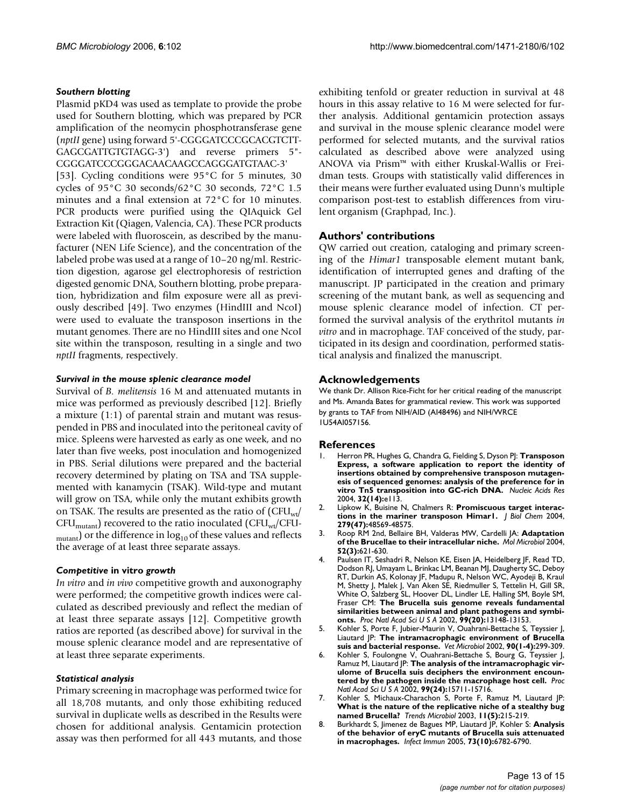# *Southern blotting*

Plasmid pKD4 was used as template to provide the probe used for Southern blotting, which was prepared by PCR amplification of the neomycin phosphotransferase gene (*nptII* gene) using forward 5'-CGGGATCCCGCACGTCTT-GAGCGATTGTGTAGG-3') and reverse primers 5"- CGGGATCCCGGGACAACAAGCCAGGGATGTAAC-3' [53]. Cycling conditions were 95°C for 5 minutes, 30 cycles of 95°C 30 seconds/62°C 30 seconds, 72°C 1.5 minutes and a final extension at 72°C for 10 minutes. PCR products were purified using the QIAquick Gel Extraction Kit (Qiagen, Valencia, CA). These PCR products were labeled with fluoroscein, as described by the manufacturer (NEN Life Science), and the concentration of the labeled probe was used at a range of 10–20 ng/ml. Restriction digestion, agarose gel electrophoresis of restriction digested genomic DNA, Southern blotting, probe preparation, hybridization and film exposure were all as previously described [49]. Two enzymes (HindIII and NcoI) were used to evaluate the transposon insertions in the mutant genomes. There are no HindIII sites and one NcoI site within the transposon, resulting in a single and two *nptII* fragments, respectively.

#### *Survival in the mouse splenic clearance model*

Survival of *B. melitensis* 16 M and attenuated mutants in mice was performed as previously described [12]. Briefly a mixture (1:1) of parental strain and mutant was resuspended in PBS and inoculated into the peritoneal cavity of mice. Spleens were harvested as early as one week, and no later than five weeks, post inoculation and homogenized in PBS. Serial dilutions were prepared and the bacterial recovery determined by plating on TSA and TSA supplemented with kanamycin (TSAK). Wild-type and mutant will grow on TSA, while only the mutant exhibits growth on TSAK. The results are presented as the ratio of  $(CFU_{wt}/T)$  $CFU<sub>mutant</sub>$ ) recovered to the ratio inoculated (CFU<sub>wt</sub>/CFU- $_{\text{mutant}}$ ) or the difference in  $\log_{10}$  of these values and reflects the average of at least three separate assays.

# *Competitive* **in vitro** *growth*

*In vitro* and *in vivo* competitive growth and auxonography were performed; the competitive growth indices were calculated as described previously and reflect the median of at least three separate assays [12]. Competitive growth ratios are reported (as described above) for survival in the mouse splenic clearance model and are representative of at least three separate experiments.

# *Statistical analysis*

Primary screening in macrophage was performed twice for all 18,708 mutants, and only those exhibiting reduced survival in duplicate wells as described in the Results were chosen for additional analysis. Gentamicin protection assay was then performed for all 443 mutants, and those exhibiting tenfold or greater reduction in survival at 48 hours in this assay relative to 16 M were selected for further analysis. Additional gentamicin protection assays and survival in the mouse splenic clearance model were performed for selected mutants, and the survival ratios calculated as described above were analyzed using ANOVA via Prism™ with either Kruskal-Wallis or Freidman tests. Groups with statistically valid differences in their means were further evaluated using Dunn's multiple comparison post-test to establish differences from virulent organism (Graphpad, Inc.).

# **Authors' contributions**

QW carried out creation, cataloging and primary screening of the *Himar1* transposable element mutant bank, identification of interrupted genes and drafting of the manuscript. JP participated in the creation and primary screening of the mutant bank, as well as sequencing and mouse splenic clearance model of infection. CT performed the survival analysis of the erythritol mutants *in vitro* and in macrophage. TAF conceived of the study, participated in its design and coordination, performed statistical analysis and finalized the manuscript.

# **Acknowledgements**

We thank Dr. Allison Rice-Ficht for her critical reading of the manuscript and Ms. Amanda Bates for grammatical review. This work was supported by grants to TAF from NIH/AID (AI48496) and NIH/WRCE 1U54AI057156.

#### **References**

- 1. Herron PR, Hughes G, Chandra G, Fielding S, Dyson PJ: **[Transposon](http://www.ncbi.nlm.nih.gov/entrez/query.fcgi?cmd=Retrieve&db=PubMed&dopt=Abstract&list_uids=15308758) [Express, a software application to report the identity of](http://www.ncbi.nlm.nih.gov/entrez/query.fcgi?cmd=Retrieve&db=PubMed&dopt=Abstract&list_uids=15308758) insertions obtained by comprehensive transposon mutagenesis of sequenced genomes: analysis of the preference for in [vitro Tn5 transposition into GC-rich DNA.](http://www.ncbi.nlm.nih.gov/entrez/query.fcgi?cmd=Retrieve&db=PubMed&dopt=Abstract&list_uids=15308758)** *Nucleic Acids Res* 2004, **32(14):**e113.
- 2. Lipkow K, Buisine N, Chalmers R: **[Promiscuous target interac](http://www.ncbi.nlm.nih.gov/entrez/query.fcgi?cmd=Retrieve&db=PubMed&dopt=Abstract&list_uids=15333635)[tions in the mariner transposon Himar1.](http://www.ncbi.nlm.nih.gov/entrez/query.fcgi?cmd=Retrieve&db=PubMed&dopt=Abstract&list_uids=15333635)** *J Biol Chem* 2004, **279(47):**48569-48575.
- 3. Roop RM 2nd, Bellaire BH, Valderas MW, Cardelli JA: **[Adaptation](http://www.ncbi.nlm.nih.gov/entrez/query.fcgi?cmd=Retrieve&db=PubMed&dopt=Abstract&list_uids=15101970) [of the Brucellae to their intracellular niche.](http://www.ncbi.nlm.nih.gov/entrez/query.fcgi?cmd=Retrieve&db=PubMed&dopt=Abstract&list_uids=15101970)** *Mol Microbiol* 2004, **52(3):**621-630.
- 4. Paulsen IT, Seshadri R, Nelson KE, Eisen JA, Heidelberg JF, Read TD, Dodson RJ, Umayam L, Brinkac LM, Beanan MJ, Daugherty SC, Deboy RT, Durkin AS, Kolonay JF, Madupu R, Nelson WC, Ayodeji B, Kraul M, Shetty J, Malek J, Van Aken SE, Riedmuller S, Tettelin H, Gill SR, White O, Salzberg SL, Hoover DL, Lindler LE, Halling SM, Boyle SM, Fraser CM: **[The Brucella suis genome reveals fundamental](http://www.ncbi.nlm.nih.gov/entrez/query.fcgi?cmd=Retrieve&db=PubMed&dopt=Abstract&list_uids=12271122) [similarities between animal and plant pathogens and symbi](http://www.ncbi.nlm.nih.gov/entrez/query.fcgi?cmd=Retrieve&db=PubMed&dopt=Abstract&list_uids=12271122)[onts.](http://www.ncbi.nlm.nih.gov/entrez/query.fcgi?cmd=Retrieve&db=PubMed&dopt=Abstract&list_uids=12271122)** *Proc Natl Acad Sci U S A* 2002, **99(20):**13148-13153.
- 5. Kohler S, Porte F, Jubier-Maurin V, Ouahrani-Bettache S, Teyssier J, Liautard JP: **[The intramacrophagic environment of Brucella](http://www.ncbi.nlm.nih.gov/entrez/query.fcgi?cmd=Retrieve&db=PubMed&dopt=Abstract&list_uids=12414150) [suis and bacterial response.](http://www.ncbi.nlm.nih.gov/entrez/query.fcgi?cmd=Retrieve&db=PubMed&dopt=Abstract&list_uids=12414150)** *Vet Microbiol* 2002, **90(1-4):**299-309.
- 6. Kohler S, Foulongne V, Ouahrani-Bettache S, Bourg G, Teyssier J, Ramuz M, Liautard JP: **[The analysis of the intramacrophagic vir](http://www.ncbi.nlm.nih.gov/entrez/query.fcgi?cmd=Retrieve&db=PubMed&dopt=Abstract&list_uids=12438693)[ulome of Brucella suis deciphers the environment encoun](http://www.ncbi.nlm.nih.gov/entrez/query.fcgi?cmd=Retrieve&db=PubMed&dopt=Abstract&list_uids=12438693)[tered by the pathogen inside the macrophage host cell.](http://www.ncbi.nlm.nih.gov/entrez/query.fcgi?cmd=Retrieve&db=PubMed&dopt=Abstract&list_uids=12438693)** *Proc Natl Acad Sci U S A* 2002, **99(24):**15711-15716.
- 7. Kohler S, Michaux-Charachon S, Porte F, Ramuz M, Liautard JP: **[What is the nature of the replicative niche of a stealthy bug](http://www.ncbi.nlm.nih.gov/entrez/query.fcgi?cmd=Retrieve&db=PubMed&dopt=Abstract&list_uids=12781524) [named Brucella?](http://www.ncbi.nlm.nih.gov/entrez/query.fcgi?cmd=Retrieve&db=PubMed&dopt=Abstract&list_uids=12781524)** *Trends Microbiol* 2003, **11(5):**215-219.
- 8. Burkhardt S, Jimenez de Bagues MP, Liautard JP, Kohler S: **[Analysis](http://www.ncbi.nlm.nih.gov/entrez/query.fcgi?cmd=Retrieve&db=PubMed&dopt=Abstract&list_uids=16177356) [of the behavior of eryC mutants of Brucella suis attenuated](http://www.ncbi.nlm.nih.gov/entrez/query.fcgi?cmd=Retrieve&db=PubMed&dopt=Abstract&list_uids=16177356) [in macrophages.](http://www.ncbi.nlm.nih.gov/entrez/query.fcgi?cmd=Retrieve&db=PubMed&dopt=Abstract&list_uids=16177356)** *Infect Immun* 2005, **73(10):**6782-6790.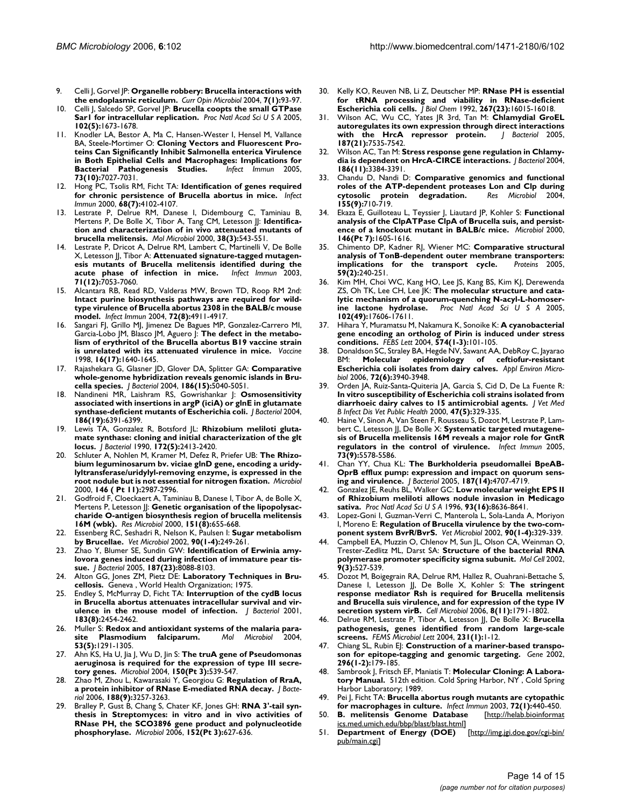- 9. Celli J, Gorvel JP: **[Organelle robbery: Brucella interactions with](http://www.ncbi.nlm.nih.gov/entrez/query.fcgi?cmd=Retrieve&db=PubMed&dopt=Abstract&list_uids=15036147) [the endoplasmic reticulum.](http://www.ncbi.nlm.nih.gov/entrez/query.fcgi?cmd=Retrieve&db=PubMed&dopt=Abstract&list_uids=15036147)** *Curr Opin Microbiol* 2004, **7(1):**93-97.
- 10. Celli J, Salcedo SP, Gorvel JP: **[Brucella coopts the small GTPase](http://www.ncbi.nlm.nih.gov/entrez/query.fcgi?cmd=Retrieve&db=PubMed&dopt=Abstract&list_uids=15632218) [Sar1 for intracellular replication.](http://www.ncbi.nlm.nih.gov/entrez/query.fcgi?cmd=Retrieve&db=PubMed&dopt=Abstract&list_uids=15632218)** *Proc Natl Acad Sci U S A* 2005, **102(5):**1673-1678.
- 11. Knodler LA, Bestor A, Ma C, Hansen-Wester I, Hensel M, Vallance BA, Steele-Mortimer O: **[Cloning Vectors and Fluorescent Pro](http://www.ncbi.nlm.nih.gov/entrez/query.fcgi?cmd=Retrieve&db=PubMed&dopt=Abstract&list_uids=16177386)[teins Can Significantly Inhibit Salmonella enterica Virulence](http://www.ncbi.nlm.nih.gov/entrez/query.fcgi?cmd=Retrieve&db=PubMed&dopt=Abstract&list_uids=16177386) in Both Epithelial Cells and Macrophages: Implications for [Bacterial Pathogenesis Studies.](http://www.ncbi.nlm.nih.gov/entrez/query.fcgi?cmd=Retrieve&db=PubMed&dopt=Abstract&list_uids=16177386)** *Infect Immun* 2005, **73(10):**7027-7031.
- 12. Hong PC, Tsolis RM, Ficht TA: **[Identification of genes required](http://www.ncbi.nlm.nih.gov/entrez/query.fcgi?cmd=Retrieve&db=PubMed&dopt=Abstract&list_uids=10858227) [for chronic persistence of Brucella abortus in mice.](http://www.ncbi.nlm.nih.gov/entrez/query.fcgi?cmd=Retrieve&db=PubMed&dopt=Abstract&list_uids=10858227)** *Infect Immun* 2000, **68(7):**4102-4107.
- 13. Lestrate P, Delrue RM, Danese I, Didembourg C, Taminiau B, Mertens P, De Bolle X, Tibor A, Tang CM, Letesson JJ: [Identifica](http://www.ncbi.nlm.nih.gov/entrez/query.fcgi?cmd=Retrieve&db=PubMed&dopt=Abstract&list_uids=11069678)**[tion and characterization of in vivo attenuated mutants of](http://www.ncbi.nlm.nih.gov/entrez/query.fcgi?cmd=Retrieve&db=PubMed&dopt=Abstract&list_uids=11069678) [brucella melitensis.](http://www.ncbi.nlm.nih.gov/entrez/query.fcgi?cmd=Retrieve&db=PubMed&dopt=Abstract&list_uids=11069678)** *Mol Microbiol* 2000, **38(3):**543-551.
- 14. Lestrate P, Dricot A, Delrue RM, Lambert C, Martinelli V, De Bolle X, Letesson JJ, Tibor A: **[Attenuated signature-tagged mutagen](http://www.ncbi.nlm.nih.gov/entrez/query.fcgi?cmd=Retrieve&db=PubMed&dopt=Abstract&list_uids=14638795)**[esis mutants of Brucella melitensis identified during the](http://www.ncbi.nlm.nih.gov/entrez/query.fcgi?cmd=Retrieve&db=PubMed&dopt=Abstract&list_uids=14638795) acute phase of infection in mice. Infect Immun 2003, [acute phase of infection in mice.](http://www.ncbi.nlm.nih.gov/entrez/query.fcgi?cmd=Retrieve&db=PubMed&dopt=Abstract&list_uids=14638795) **71(12):**7053-7060.
- 15. Alcantara RB, Read RD, Valderas MW, Brown TD, Roop RM 2nd: **[Intact purine biosynthesis pathways are required for wild](http://www.ncbi.nlm.nih.gov/entrez/query.fcgi?cmd=Retrieve&db=PubMed&dopt=Abstract&list_uids=15271960)type virulence of Brucella abortus 2308 in the BALB/c mouse [model.](http://www.ncbi.nlm.nih.gov/entrez/query.fcgi?cmd=Retrieve&db=PubMed&dopt=Abstract&list_uids=15271960)** *Infect Immun* 2004, **72(8):**4911-4917.
- 16. Sangari FJ, Grillo MJ, Jimenez De Bagues MP, Gonzalez-Carrero MI, Garcia-Lobo JM, Blasco JM, Aguero J: **[The defect in the metabo](http://www.ncbi.nlm.nih.gov/entrez/query.fcgi?cmd=Retrieve&db=PubMed&dopt=Abstract&list_uids=9713940)[lism of erythritol of the Brucella abortus B19 vaccine strain](http://www.ncbi.nlm.nih.gov/entrez/query.fcgi?cmd=Retrieve&db=PubMed&dopt=Abstract&list_uids=9713940) [is unrelated with its attenuated virulence in mice.](http://www.ncbi.nlm.nih.gov/entrez/query.fcgi?cmd=Retrieve&db=PubMed&dopt=Abstract&list_uids=9713940)** *Vaccine* 1998, **16(17):**1640-1645.
- 17. Rajashekara G, Glasner JD, Glover DA, Splitter GA: **[Comparative](http://www.ncbi.nlm.nih.gov/entrez/query.fcgi?cmd=Retrieve&db=PubMed&dopt=Abstract&list_uids=15262941) [whole-genome hybridization reveals genomic islands in Bru](http://www.ncbi.nlm.nih.gov/entrez/query.fcgi?cmd=Retrieve&db=PubMed&dopt=Abstract&list_uids=15262941)[cella species.](http://www.ncbi.nlm.nih.gov/entrez/query.fcgi?cmd=Retrieve&db=PubMed&dopt=Abstract&list_uids=15262941)** *J Bacteriol* 2004, **186(15):**5040-5051.
- 18. Nandineni MR, Laishram RS, Gowrishankar J: **[Osmosensitivity](http://www.ncbi.nlm.nih.gov/entrez/query.fcgi?cmd=Retrieve&db=PubMed&dopt=Abstract&list_uids=15375119) [associated with insertions in argP \(iciA\) or glnE in glutamate](http://www.ncbi.nlm.nih.gov/entrez/query.fcgi?cmd=Retrieve&db=PubMed&dopt=Abstract&list_uids=15375119) [synthase-deficient mutants of Escherichia coli.](http://www.ncbi.nlm.nih.gov/entrez/query.fcgi?cmd=Retrieve&db=PubMed&dopt=Abstract&list_uids=15375119)** *J Bacteriol* 2004, **186(19):**6391-6399.
- 19. Lewis TA, Gonzalez R, Botsford JL: **[Rhizobium meliloti gluta](http://www.ncbi.nlm.nih.gov/entrez/query.fcgi?cmd=Retrieve&db=PubMed&dopt=Abstract&list_uids=2185218)[mate synthase: cloning and initial characterization of the glt](http://www.ncbi.nlm.nih.gov/entrez/query.fcgi?cmd=Retrieve&db=PubMed&dopt=Abstract&list_uids=2185218) [locus.](http://www.ncbi.nlm.nih.gov/entrez/query.fcgi?cmd=Retrieve&db=PubMed&dopt=Abstract&list_uids=2185218)** *J Bacteriol* 1990, **172(5):**2413-2420.
- 20. Schluter A, Nohlen M, Kramer M, Defez R, Priefer UB: **The Rhizobium leguminosarum bv. viciae glnD gene, encoding a uridylyltransferase/uridylyl-removing enzyme, is expressed in the root nodule but is not essential for nitrogen fixation.** *Microbiol* 2000, **146 ( Pt 11):**2987-2996.
- 21. Godfroid F, Cloeckaert A, Taminiau B, Danese I, Tibor A, de Bolle X, Mertens P, Letesson JJ: **[Genetic organisation of the lipopolysac](http://www.ncbi.nlm.nih.gov/entrez/query.fcgi?cmd=Retrieve&db=PubMed&dopt=Abstract&list_uids=11081580)[charide O-antigen biosynthesis region of brucella melitensis](http://www.ncbi.nlm.nih.gov/entrez/query.fcgi?cmd=Retrieve&db=PubMed&dopt=Abstract&list_uids=11081580) [16M \(wbk\).](http://www.ncbi.nlm.nih.gov/entrez/query.fcgi?cmd=Retrieve&db=PubMed&dopt=Abstract&list_uids=11081580)** *Res Microbiol* 2000, **151(8):**655-668.
- 22. Essenberg RC, Seshadri R, Nelson K, Paulsen I: **[Sugar metabolism](http://www.ncbi.nlm.nih.gov/entrez/query.fcgi?cmd=Retrieve&db=PubMed&dopt=Abstract&list_uids=12414147) [by Brucellae.](http://www.ncbi.nlm.nih.gov/entrez/query.fcgi?cmd=Retrieve&db=PubMed&dopt=Abstract&list_uids=12414147)** *Vet Microbiol* 2002, **90(1-4):**249-261.
- 23. Zhao Y, Blumer SE, Sundin GW: **[Identification of Erwinia amy](http://www.ncbi.nlm.nih.gov/entrez/query.fcgi?cmd=Retrieve&db=PubMed&dopt=Abstract&list_uids=16291682)[lovora genes induced during infection of immature pear tis](http://www.ncbi.nlm.nih.gov/entrez/query.fcgi?cmd=Retrieve&db=PubMed&dopt=Abstract&list_uids=16291682)[sue.](http://www.ncbi.nlm.nih.gov/entrez/query.fcgi?cmd=Retrieve&db=PubMed&dopt=Abstract&list_uids=16291682)** *J Bacteriol* 2005, **187(23):**8088-8103.
- 24. Alton GG, Jones ZM, Pietz DE: **Laboratory Techniques in Brucellosis.** Geneva , World Health Organization; 1975.
- 25. Endley S, McMurray D, Ficht TA: **[Interruption of the cydB locus](http://www.ncbi.nlm.nih.gov/entrez/query.fcgi?cmd=Retrieve&db=PubMed&dopt=Abstract&list_uids=11274104) [in Brucella abortus attenuates intracellular survival and vir](http://www.ncbi.nlm.nih.gov/entrez/query.fcgi?cmd=Retrieve&db=PubMed&dopt=Abstract&list_uids=11274104)[ulence in the mouse model of infection.](http://www.ncbi.nlm.nih.gov/entrez/query.fcgi?cmd=Retrieve&db=PubMed&dopt=Abstract&list_uids=11274104)** *J Bacteriol* 2001, **183(8):**2454-2462.
- 26. Muller S: **[Redox and antioxidant systems of the malaria para](http://www.ncbi.nlm.nih.gov/entrez/query.fcgi?cmd=Retrieve&db=PubMed&dopt=Abstract&list_uids=15387810)**[site Plasmodium falciparum.](http://www.ncbi.nlm.nih.gov/entrez/query.fcgi?cmd=Retrieve&db=PubMed&dopt=Abstract&list_uids=15387810) **53(5):**1291-1305.
- 27. Ahn KS, Ha U, Jia J, Wu D, Jin S: **The truA gene of Pseudomonas aeruginosa is required for the expression of type III secretory genes.** *Microbiol* 2004, **150(Pt 3):**539-547.
- 28. Zhao M, Zhou L, Kawarasaki Y, Georgiou G: **[Regulation of RraA,](http://www.ncbi.nlm.nih.gov/entrez/query.fcgi?cmd=Retrieve&db=PubMed&dopt=Abstract&list_uids=16621818) [a protein inhibitor of RNase E-mediated RNA decay.](http://www.ncbi.nlm.nih.gov/entrez/query.fcgi?cmd=Retrieve&db=PubMed&dopt=Abstract&list_uids=16621818)** *J Bacteriol* 2006, **188(9):**3257-3263.
- 29. Bralley P, Gust B, Chang S, Chater KF, Jones GH: **RNA 3'-tail synthesis in Streptomyces: in vitro and in vivo activities of RNase PH, the SCO3896 gene product and polynucleotide phosphorylase.** *Microbiol* 2006, **152(Pt 3):**627-636.
- 30. Kelly KO, Reuven NB, Li Z, Deutscher MP: **[RNase PH is essential](http://www.ncbi.nlm.nih.gov/entrez/query.fcgi?cmd=Retrieve&db=PubMed&dopt=Abstract&list_uids=1644789) [for tRNA processing and viability in RNase-deficient](http://www.ncbi.nlm.nih.gov/entrez/query.fcgi?cmd=Retrieve&db=PubMed&dopt=Abstract&list_uids=1644789) [Escherichia coli cells.](http://www.ncbi.nlm.nih.gov/entrez/query.fcgi?cmd=Retrieve&db=PubMed&dopt=Abstract&list_uids=1644789)** *J Biol Chem* 1992, **267(23):**16015-16018.
- 31. Wilson AC, Wu CC, Yates JR 3rd, Tan M: **[Chlamydial GroEL](http://www.ncbi.nlm.nih.gov/entrez/query.fcgi?cmd=Retrieve&db=PubMed&dopt=Abstract&list_uids=16237037) [autoregulates its own expression through direct interactions](http://www.ncbi.nlm.nih.gov/entrez/query.fcgi?cmd=Retrieve&db=PubMed&dopt=Abstract&list_uids=16237037) [with the HrcA repressor protein.](http://www.ncbi.nlm.nih.gov/entrez/query.fcgi?cmd=Retrieve&db=PubMed&dopt=Abstract&list_uids=16237037)** *J Bacteriol* 2005, **187(21):**7535-7542.
- 32. Wilson AC, Tan M: **[Stress response gene regulation in Chlamy](http://www.ncbi.nlm.nih.gov/entrez/query.fcgi?cmd=Retrieve&db=PubMed&dopt=Abstract&list_uids=15150223)[dia is dependent on HrcA-CIRCE interactions.](http://www.ncbi.nlm.nih.gov/entrez/query.fcgi?cmd=Retrieve&db=PubMed&dopt=Abstract&list_uids=15150223)** *J Bacteriol* 2004, **186(11):**3384-3391.
- 33. Chandu D, Nandi D: **[Comparative genomics and functional](http://www.ncbi.nlm.nih.gov/entrez/query.fcgi?cmd=Retrieve&db=PubMed&dopt=Abstract&list_uids=15501647) [roles of the ATP-dependent proteases Lon and Clp during](http://www.ncbi.nlm.nih.gov/entrez/query.fcgi?cmd=Retrieve&db=PubMed&dopt=Abstract&list_uids=15501647) [cytosolic protein degradation.](http://www.ncbi.nlm.nih.gov/entrez/query.fcgi?cmd=Retrieve&db=PubMed&dopt=Abstract&list_uids=15501647)** *Res Microbiol* 2004, **155(9):**710-719.
- 34. Ekaza E, Guilloteau L, Teyssier J, Liautard JP, Kohler S: **Functional analysis of the ClpATPase ClpA of Brucella suis, and persistence of a knockout mutant in BALB/c mice.** *Microbiol* 2000, **146(Pt 7):**1605-1616.
- 35. Chimento DP, Kadner RJ, Wiener MC: **[Comparative structural](http://www.ncbi.nlm.nih.gov/entrez/query.fcgi?cmd=Retrieve&db=PubMed&dopt=Abstract&list_uids=15739205) [analysis of TonB-dependent outer membrane transporters:](http://www.ncbi.nlm.nih.gov/entrez/query.fcgi?cmd=Retrieve&db=PubMed&dopt=Abstract&list_uids=15739205)** [implications for the transport cycle.](http://www.ncbi.nlm.nih.gov/entrez/query.fcgi?cmd=Retrieve&db=PubMed&dopt=Abstract&list_uids=15739205) **59(2):**240-251.
- Kim MH, Choi WC, Kang HO, Lee JS, Kang BS, Kim KJ, Derewenda ZS, Oh TK, Lee CH, Lee JK: **[The molecular structure and cata](http://www.ncbi.nlm.nih.gov/entrez/query.fcgi?cmd=Retrieve&db=PubMed&dopt=Abstract&list_uids=16314577)[lytic mechanism of a quorum-quenching N-acyl-L-homoser](http://www.ncbi.nlm.nih.gov/entrez/query.fcgi?cmd=Retrieve&db=PubMed&dopt=Abstract&list_uids=16314577)[ine lactone hydrolase.](http://www.ncbi.nlm.nih.gov/entrez/query.fcgi?cmd=Retrieve&db=PubMed&dopt=Abstract&list_uids=16314577)** *Proc Natl Acad Sci U S A* 2005, **102(49):**17606-17611.
- 37. Hihara Y, Muramatsu M, Nakamura K, Sonoike K: **[A cyanobacterial](http://www.ncbi.nlm.nih.gov/entrez/query.fcgi?cmd=Retrieve&db=PubMed&dopt=Abstract&list_uids=15358547) [gene encoding an ortholog of Pirin is induced under stress](http://www.ncbi.nlm.nih.gov/entrez/query.fcgi?cmd=Retrieve&db=PubMed&dopt=Abstract&list_uids=15358547) [conditions.](http://www.ncbi.nlm.nih.gov/entrez/query.fcgi?cmd=Retrieve&db=PubMed&dopt=Abstract&list_uids=15358547)** *FEBS Lett* 2004, **574(1-3):**101-105.
- Donaldson SC, Straley BA, Hegde NV, Sawant AA, DebRoy C, Jayarao<br>BM: **Molecular epidemiology of ceftiofur-resistant** BM: **[Molecular epidemiology of ceftiofur-resistant](http://www.ncbi.nlm.nih.gov/entrez/query.fcgi?cmd=Retrieve&db=PubMed&dopt=Abstract&list_uids=16751500) [Escherichia coli isolates from dairy calves.](http://www.ncbi.nlm.nih.gov/entrez/query.fcgi?cmd=Retrieve&db=PubMed&dopt=Abstract&list_uids=16751500)** *Appl Environ Microbiol* 2006, **72(6):**3940-3948.
- 39. Orden JA, Ruiz-Santa-Quiteria JA, Garcia S, Cid D, De La Fuente R: **[In vitro susceptibility of Escherichia coli strains isolated from](http://www.ncbi.nlm.nih.gov/entrez/query.fcgi?cmd=Retrieve&db=PubMed&dopt=Abstract&list_uids=10900823) [diarrhoeic dairy calves to 15 antimicrobial agents.](http://www.ncbi.nlm.nih.gov/entrez/query.fcgi?cmd=Retrieve&db=PubMed&dopt=Abstract&list_uids=10900823)** *J Vet Med B Infect Dis Vet Public Health* 2000, **47(5):**329-335.
- Haine V, Sinon A, Van Steen F, Rousseau S, Dozot M, Lestrate P, Lambert C, Letesson JJ, De Bolle X: **[Systematic targeted mutagene](http://www.ncbi.nlm.nih.gov/entrez/query.fcgi?cmd=Retrieve&db=PubMed&dopt=Abstract&list_uids=16113274)[sis of Brucella melitensis 16M reveals a major role for GntR](http://www.ncbi.nlm.nih.gov/entrez/query.fcgi?cmd=Retrieve&db=PubMed&dopt=Abstract&list_uids=16113274) [regulators in the control of virulence.](http://www.ncbi.nlm.nih.gov/entrez/query.fcgi?cmd=Retrieve&db=PubMed&dopt=Abstract&list_uids=16113274)** *Infect Immun* 2005, **73(9):**5578-5586.
- 41. Chan YY, Chua KL: **[The Burkholderia pseudomallei BpeAB-](http://www.ncbi.nlm.nih.gov/entrez/query.fcgi?cmd=Retrieve&db=PubMed&dopt=Abstract&list_uids=15995185)[OprB efflux pump: expression and impact on quorum sens](http://www.ncbi.nlm.nih.gov/entrez/query.fcgi?cmd=Retrieve&db=PubMed&dopt=Abstract&list_uids=15995185)[ing and virulence.](http://www.ncbi.nlm.nih.gov/entrez/query.fcgi?cmd=Retrieve&db=PubMed&dopt=Abstract&list_uids=15995185)** *J Bacteriol* 2005, **187(14):**4707-4719.
- 42. Gonzalez JE, Reuhs BL, Walker GC: **[Low molecular weight EPS II](http://www.ncbi.nlm.nih.gov/entrez/query.fcgi?cmd=Retrieve&db=PubMed&dopt=Abstract&list_uids=8710923) [of Rhizobium meliloti allows nodule invasion in Medicago](http://www.ncbi.nlm.nih.gov/entrez/query.fcgi?cmd=Retrieve&db=PubMed&dopt=Abstract&list_uids=8710923) [sativa.](http://www.ncbi.nlm.nih.gov/entrez/query.fcgi?cmd=Retrieve&db=PubMed&dopt=Abstract&list_uids=8710923)** *Proc Natl Acad Sci U S A* 1996, **93(16):**8636-8641.
- Lopez-Goni I, Guzman-Verri C, Manterola L, Sola-Landa A, Moriyon I, Moreno E: **[Regulation of Brucella virulence by the two-com](http://www.ncbi.nlm.nih.gov/entrez/query.fcgi?cmd=Retrieve&db=PubMed&dopt=Abstract&list_uids=12414153)[ponent system BvrR/BvrS.](http://www.ncbi.nlm.nih.gov/entrez/query.fcgi?cmd=Retrieve&db=PubMed&dopt=Abstract&list_uids=12414153)** *Vet Microbiol* 2002, **90(1-4):**329-339.
- 44. Campbell EA, Muzzin O, Chlenov M, Sun JL, Olson CA, Weinman O, Trester-Zedlitz ML, Darst SA: **[Structure of the bacterial RNA](http://www.ncbi.nlm.nih.gov/entrez/query.fcgi?cmd=Retrieve&db=PubMed&dopt=Abstract&list_uids=11931761) [polymerase promoter specificity sigma subunit.](http://www.ncbi.nlm.nih.gov/entrez/query.fcgi?cmd=Retrieve&db=PubMed&dopt=Abstract&list_uids=11931761)** *Mol Cell* 2002, **9(3):**527-539.
- 45. Dozot M, Boigegrain RA, Delrue RM, Hallez R, Ouahrani-Bettache S, Danese I, Letesson JJ, De Bolle X, Kohler S: **[The stringent](http://www.ncbi.nlm.nih.gov/entrez/query.fcgi?cmd=Retrieve&db=PubMed&dopt=Abstract&list_uids=16803581) [response mediator Rsh is required for Brucella melitensis](http://www.ncbi.nlm.nih.gov/entrez/query.fcgi?cmd=Retrieve&db=PubMed&dopt=Abstract&list_uids=16803581) and Brucella suis virulence, and for expression of the type IV [secretion system virB.](http://www.ncbi.nlm.nih.gov/entrez/query.fcgi?cmd=Retrieve&db=PubMed&dopt=Abstract&list_uids=16803581)** *Cell Microbiol* 2006, **8(11):**1791-1802.
- 46. Delrue RM, Lestrate P, Tibor A, Letesson JJ, De Bolle X: **[Brucella](http://www.ncbi.nlm.nih.gov/entrez/query.fcgi?cmd=Retrieve&db=PubMed&dopt=Abstract&list_uids=14979322) [pathogenesis, genes identified from random large-scale](http://www.ncbi.nlm.nih.gov/entrez/query.fcgi?cmd=Retrieve&db=PubMed&dopt=Abstract&list_uids=14979322) [screens.](http://www.ncbi.nlm.nih.gov/entrez/query.fcgi?cmd=Retrieve&db=PubMed&dopt=Abstract&list_uids=14979322)** *FEMS Microbiol Lett* 2004, **231(1):**1-12.
- 47. Chiang SL, Rubin El: **[Construction of a mariner-based transpo](http://www.ncbi.nlm.nih.gov/entrez/query.fcgi?cmd=Retrieve&db=PubMed&dopt=Abstract&list_uids=12383515)[son for epitope-tagging and genomic targeting.](http://www.ncbi.nlm.nih.gov/entrez/query.fcgi?cmd=Retrieve&db=PubMed&dopt=Abstract&list_uids=12383515)** *Gene* 2002, **296(1-2):**179-185.
- Sambrook J, Fritsch EF, Maniatis T: Molecular Cloning: A Labora**tory Manual.** 512th edition. Cold Spring Harbor, NY , Cold Spring Harbor Laboratory; 1989.
- 49. Pei J, Ficht TA: **Brucella abortus rough mutants are cytopathic for macrophages in culture.** *Infect Immun* 2003, **72(1):**440-450.
- 50. **B.** melitensis Genome Database [ics.med.umich.edu/bbp/blast/blast.html\]](http://helab.bioinformatics.med.umich.edu/bbp/blast/blast.html)
- 51. **Department of Energy (DOE)** [[http://img.jgi.doe.gov/cgi-bin/](http://img.jgi.doe.gov/cgi-bin/pub/main.cgi) [pub/main.cgi](http://img.jgi.doe.gov/cgi-bin/pub/main.cgi)]